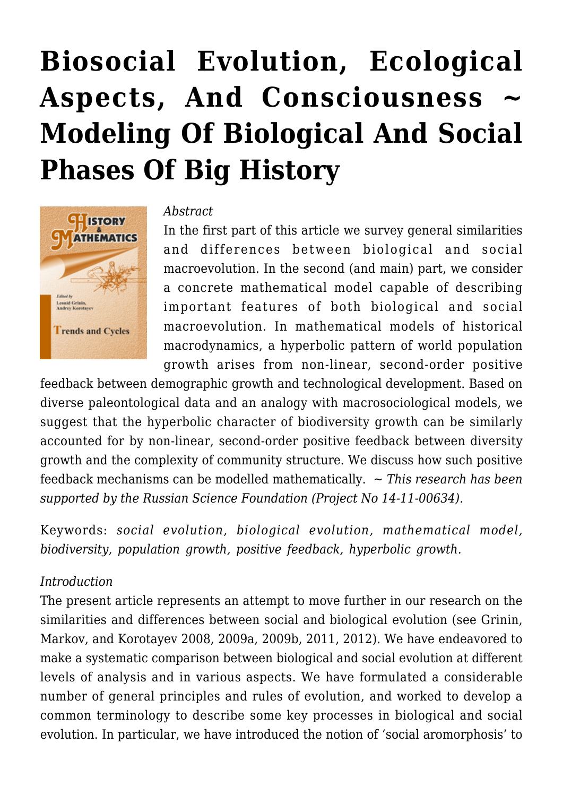# **[Biosocial Evolution, Ecological](https://rozenbergquarterly.com/biosocial-evolution-ecological-aspects-and-consciousness-modeling-of-biological-and-social-phases-of-big-history/)** Aspects, And Consciousness **[Modeling Of Biological And Social](https://rozenbergquarterly.com/biosocial-evolution-ecological-aspects-and-consciousness-modeling-of-biological-and-social-phases-of-big-history/) [Phases Of Big History](https://rozenbergquarterly.com/biosocial-evolution-ecological-aspects-and-consciousness-modeling-of-biological-and-social-phases-of-big-history/)**



#### *Abstract*

In the first part of this article we survey general similarities and differences between biological and social macroevolution. In the second (and main) part, we consider a concrete mathematical model capable of describing important features of both biological and social macroevolution. In mathematical models of historical macrodynamics, a hyperbolic pattern of world population growth arises from non-linear, second-order positive

feedback between demographic growth and technological development. Based on diverse paleontological data and an analogy with macrosociological models, we suggest that the hyperbolic character of biodiversity growth can be similarly accounted for by non-linear, second-order positive feedback between diversity growth and the complexity of community structure. We discuss how such positive feedback mechanisms can be modelled mathematically. ~ *This research has been supported by the Russian Science Foundation (Project No 14-11-00634).*

Keywords: *social evolution, biological evolution, mathematical model, biodiversity, population growth, positive feedback, hyperbolic growth.*

#### *Introduction*

The present article represents an attempt to move further in our research on the similarities and differences between social and biological evolution (see Grinin, Markov, and Korotayev 2008, 2009a, 2009b, 2011, 2012). We have endeavored to make a systematic comparison between biological and social evolution at different levels of analysis and in various aspects. We have formulated a considerable number of general principles and rules of evolution, and worked to develop a common terminology to describe some key processes in biological and social evolution. In particular, we have introduced the notion of 'social aromorphosis' to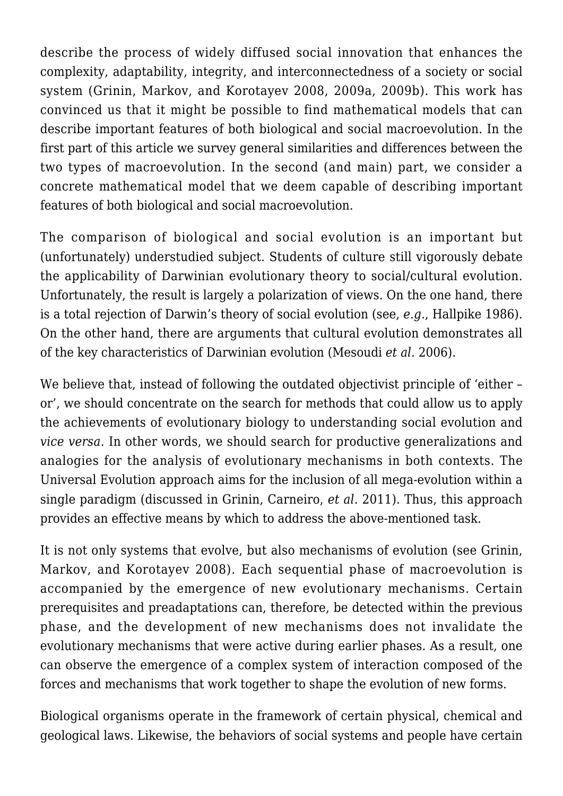describe the process of widely diffused social innovation that enhances the complexity, adaptability, integrity, and interconnectedness of a society or social system (Grinin, Markov, and Korotayev 2008, 2009a, 2009b). This work has convinced us that it might be possible to find mathematical models that can describe important features of both biological and social macroevolution. In the first part of this article we survey general similarities and differences between the two types of macroevolution. In the second (and main) part, we consider a concrete mathematical model that we deem capable of describing important features of both biological and social macroevolution.

The comparison of biological and social evolution is an important but (unfortunately) understudied subject. Students of culture still vigorously debate the applicability of Darwinian evolutionary theory to social/cultural evolution. Unfortunately, the result is largely a polarization of views. On the one hand, there is a total rejection of Darwin's theory of social evolution (see, *e.g.*, Hallpike 1986). On the other hand, there are arguments that cultural evolution demonstrates all of the key characteristics of Darwinian evolution (Mesoudi *et al.* 2006).

We believe that, instead of following the outdated objectivist principle of 'either or', we should concentrate on the search for methods that could allow us to apply the achievements of evolutionary biology to understanding social evolution and *vice versa*. In other words, we should search for productive generalizations and analogies for the analysis of evolutionary mechanisms in both contexts. The Universal Evolution approach aims for the inclusion of all mega-evolution within a single paradigm (discussed in Grinin, Carneiro, *et al.* 2011). Thus, this approach provides an effective means by which to address the above-mentioned task.

It is not only systems that evolve, but also mechanisms of evolution (see Grinin, Markov, and Korotayev 2008). Each sequential phase of macroevolution is accompanied by the emergence of new evolutionary mechanisms. Certain prerequisites and preadaptations can, therefore, be detected within the previous phase, and the development of new mechanisms does not invalidate the evolutionary mechanisms that were active during earlier phases. As a result, one can observe the emergence of a complex system of interaction composed of the forces and mechanisms that work together to shape the evolution of new forms.

Biological organisms operate in the framework of certain physical, chemical and geological laws. Likewise, the behaviors of social systems and people have certain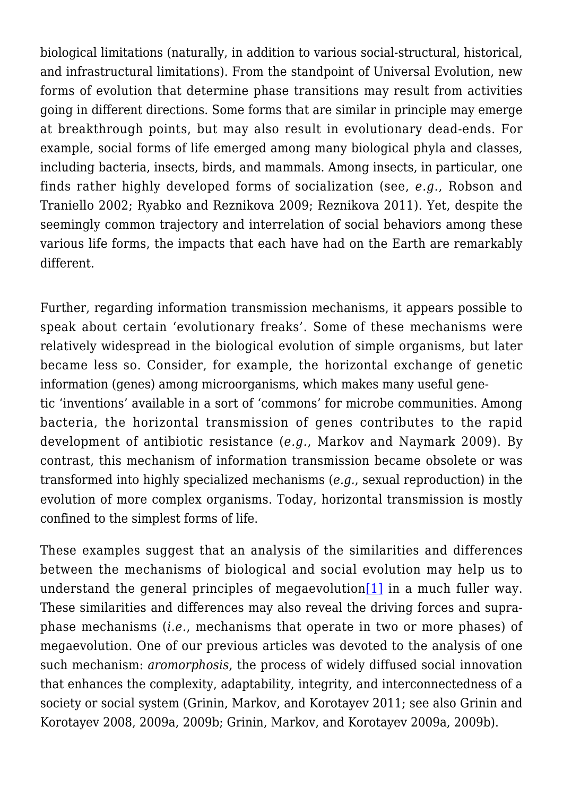biological limitations (naturally, in addition to various social-structural, historical, and infrastructural limitations). From the standpoint of Universal Evolution, new forms of evolution that determine phase transitions may result from activities going in different directions. Some forms that are similar in principle may emerge at breakthrough points, but may also result in evolutionary dead-ends. For example, social forms of life emerged among many biological phyla and classes, including bacteria, insects, birds, and mammals. Among insects, in particular, one finds rather highly developed forms of socialization (see, *e.g.*, Robson and Traniello 2002; Ryabko and Reznikova 2009; Reznikova 2011). Yet, despite the seemingly common trajectory and interrelation of social behaviors among these various life forms, the impacts that each have had on the Earth are remarkably different.

Further, regarding information transmission mechanisms, it appears possible to speak about certain 'evolutionary freaks'. Some of these mechanisms were relatively widespread in the biological evolution of simple organisms, but later became less so. Consider, for example, the horizontal exchange of genetic information (genes) among microorganisms, which makes many useful genetic 'inventions' available in a sort of 'commons' for microbe communities. Among bacteria, the horizontal transmission of genes contributes to the rapid development of antibiotic resistance (*e.g.*, Markov and Naymark 2009). By contrast, this mechanism of information transmission became obsolete or was

transformed into highly specialized mechanisms (*e.g.*, sexual reproduction) in the evolution of more complex organisms. Today, horizontal transmission is mostly confined to the simplest forms of life.

<span id="page-2-0"></span>These examples suggest that an analysis of the similarities and differences between the mechanisms of biological and social evolution may help us to understand the general principles of megaevolution<sup>[\[1\]](#page-32-0)</sup> in a much fuller way. These similarities and differences may also reveal the driving forces and supraphase mechanisms (*i.e.*, mechanisms that operate in two or more phases) of megaevolution. One of our previous articles was devoted to the analysis of one such mechanism: *aromorphosis*, the process of widely diffused social innovation that enhances the complexity, adaptability, integrity, and interconnectedness of a society or social system (Grinin, Markov, and Korotayev 2011; see also Grinin and Korotayev 2008, 2009a, 2009b; Grinin, Markov, and Korotayev 2009a, 2009b).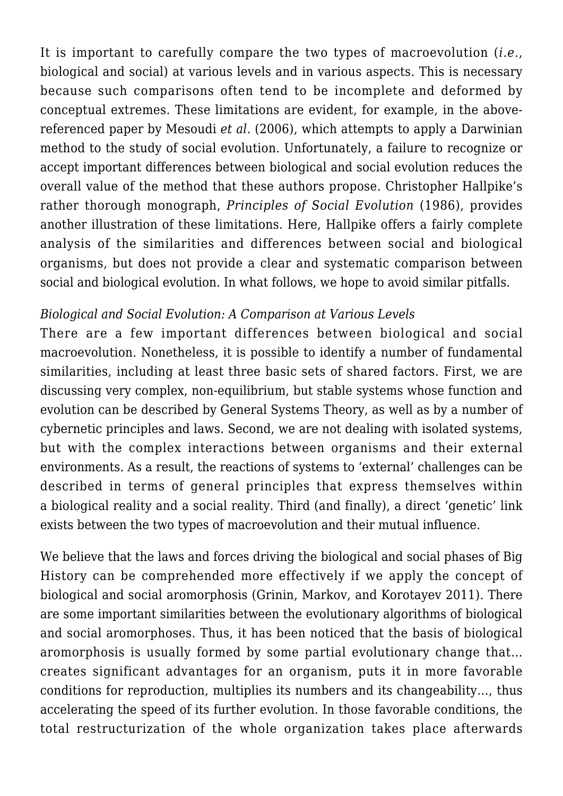It is important to carefully compare the two types of macroevolution (*i.e.*, biological and social) at various levels and in various aspects. This is necessary because such comparisons often tend to be incomplete and deformed by conceptual extremes. These limitations are evident, for example, in the abovereferenced paper by Mesoudi *et al.* (2006), which attempts to apply a Darwinian method to the study of social evolution. Unfortunately, a failure to recognize or accept important differences between biological and social evolution reduces the overall value of the method that these authors propose. Christopher Hallpike's rather thorough monograph, *Principles of Social Evolution* (1986), provides another illustration of these limitations. Here, Hallpike offers a fairly complete analysis of the similarities and differences between social and biological organisms, but does not provide a clear and systematic comparison between social and biological evolution. In what follows, we hope to avoid similar pitfalls.

#### *Biological and Social Evolution: A Comparison at Various Levels*

There are a few important differences between biological and social macroevolution. Nonetheless, it is possible to identify a number of fundamental similarities, including at least three basic sets of shared factors. First, we are discussing very complex, non-equilibrium, but stable systems whose function and evolution can be described by General Systems Theory, as well as by a number of cybernetic principles and laws. Second, we are not dealing with isolated systems, but with the complex interactions between organisms and their external environments. As a result, the reactions of systems to 'external' challenges can be described in terms of general principles that express themselves within a biological reality and a social reality. Third (and finally), a direct 'genetic' link exists between the two types of macroevolution and their mutual influence.

We believe that the laws and forces driving the biological and social phases of Big History can be comprehended more effectively if we apply the concept of biological and social aromorphosis (Grinin, Markov, and Korotayev 2011). There are some important similarities between the evolutionary algorithms of biological and social aromorphoses. Thus, it has been noticed that the basis of biological aromorphosis is usually formed by some partial evolutionary change that… creates significant advantages for an organism, puts it in more favorable conditions for reproduction, multiplies its numbers and its changeability…, thus accelerating the speed of its further evolution. In those favorable conditions, the total restructurization of the whole organization takes place afterwards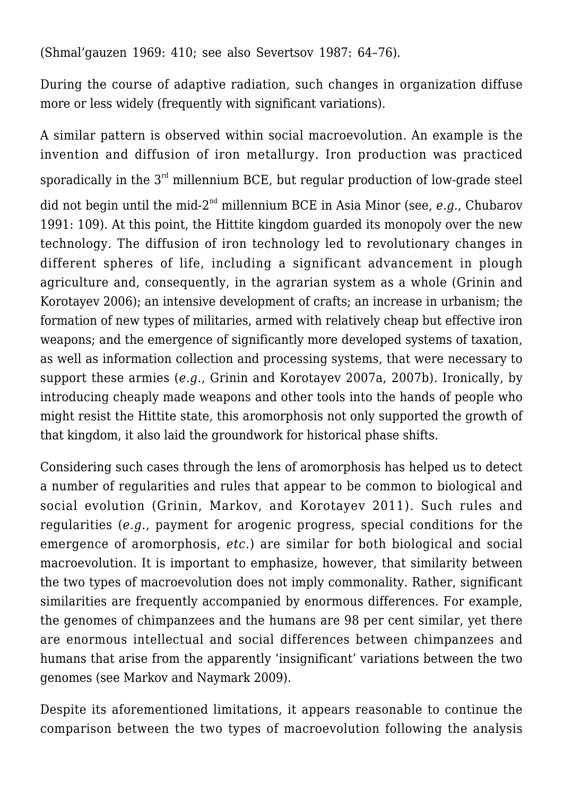(Shmal'gauzen 1969: 410; see also Severtsov 1987: 64–76).

During the course of adaptive radiation, such changes in organization diffuse more or less widely (frequently with significant variations).

A similar pattern is observed within social macroevolution. An example is the invention and diffusion of iron metallurgy. Iron production was practiced sporadically in the  $3<sup>rd</sup>$  millennium BCE, but regular production of low-grade steel did not begin until the mid-2nd millennium BCE in Asia Minor (see, *e.g.*, Chubarov 1991: 109). At this point, the Hittite kingdom guarded its monopoly over the new technology. The diffusion of iron technology led to revolutionary changes in different spheres of life, including a significant advancement in plough agriculture and, consequently, in the agrarian system as a whole (Grinin and Korotayev 2006); an intensive development of crafts; an increase in urbanism; the formation of new types of militaries, armed with relatively cheap but effective iron weapons; and the emergence of significantly more developed systems of taxation, as well as information collection and processing systems, that were necessary to support these armies (*e.g.*, Grinin and Korotayev 2007a, 2007b). Ironically, by introducing cheaply made weapons and other tools into the hands of people who might resist the Hittite state, this aromorphosis not only supported the growth of that kingdom, it also laid the groundwork for historical phase shifts.

Considering such cases through the lens of aromorphosis has helped us to detect a number of regularities and rules that appear to be common to biological and social evolution (Grinin, Markov, and Korotayev 2011). Such rules and regularities (*e.g.*, payment for arogenic progress, special conditions for the emergence of aromorphosis, *etc.*) are similar for both biological and social macroevolution. It is important to emphasize, however, that similarity between the two types of macroevolution does not imply commonality. Rather, significant similarities are frequently accompanied by enormous differences. For example, the genomes of chimpanzees and the humans are 98 per cent similar, yet there are enormous intellectual and social differences between chimpanzees and humans that arise from the apparently 'insignificant' variations between the two genomes (see Markov and Naymark 2009).

Despite its aforementioned limitations, it appears reasonable to continue the comparison between the two types of macroevolution following the analysis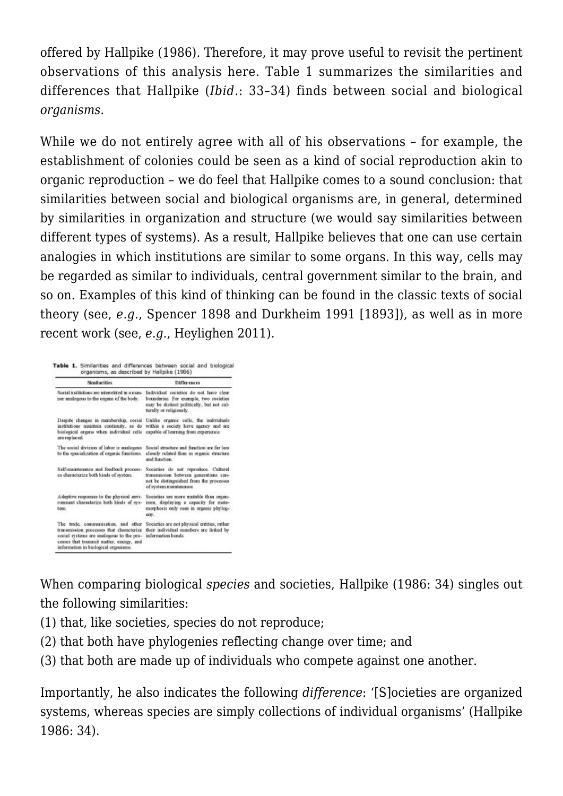offered by Hallpike (1986). Therefore, it may prove useful to revisit the pertinent observations of this analysis here. Table 1 summarizes the similarities and differences that Hallpike (*Ibid.*: 33–34) finds between social and biological *organisms*.

While we do not entirely agree with all of his observations – for example, the establishment of colonies could be seen as a kind of social reproduction akin to organic reproduction – we do feel that Hallpike comes to a sound conclusion: that similarities between social and biological organisms are, in general, determined by similarities in organization and structure (we would say similarities between different types of systems). As a result, Hallpike believes that one can use certain analogies in which institutions are similar to some organs. In this way, cells may be regarded as similar to individuals, central government similar to the brain, and so on. Examples of this kind of thinking can be found in the classic texts of social theory (see, *e.g.*, Spencer 1898 and Durkheim 1991 [1893]), as well as in more recent work (see, *e.g.*, Heylighen 2011).

| <b>Similarities</b>                                                                                                                                                                                                                                          | <b>Differences</b>                                                                                                                                       |
|--------------------------------------------------------------------------------------------------------------------------------------------------------------------------------------------------------------------------------------------------------------|----------------------------------------------------------------------------------------------------------------------------------------------------------|
| Social institutions are interrelated in a man-<br>ner analogous to the organs of the body.                                                                                                                                                                   | Individual societies do not have clear<br>boundaries. For example, two societies<br>may be distinct politically, but not cul-<br>turally or religiously. |
| Despite charges in membership, social Unlike organic cells, the individuals<br>institutions maintain continuity, as do within a society have agency and are<br>biological organs when individual cells eagable of learning from experience.<br>are replaced. |                                                                                                                                                          |
| The social division of labor is analogous<br>to the specialization of organic functions.                                                                                                                                                                     | Social structure and function are far less.<br>closely related than in organic structure<br>and function.                                                |
| Self-maintenance and feedback process-<br>es characterize both kinds of system.                                                                                                                                                                              | Societies do not reproduce. Cultural<br>transmission between generations can-<br>not be distinguished from the processes<br>of system maintenance.       |
| Adaptive responses to the physical envi-<br>romment characterize both kinds of sys-<br>tem.                                                                                                                                                                  | Societies are more mutable than organ-<br>isms, displaying a capacity for meta-<br>morphosis only seen in organic phylog-<br>cm.                         |
| The trade, communication, and other<br>transmission processes that cheracterize<br>social systems are analogous to the pro-<br>cesses that transmit matter, energy, and<br>information in biological organisms.                                              | Societies are not physical entities, rather<br>their individual members are linked by<br>information bonds.                                              |

When comparing biological *species* and societies, Hallpike (1986: 34) singles out the following similarities:

- (1) that, like societies, species do not reproduce;
- (2) that both have phylogenies reflecting change over time; and
- (3) that both are made up of individuals who compete against one another.

Importantly, he also indicates the following *difference*: '[S]ocieties are organized systems, whereas species are simply collections of individual organisms' (Hallpike 1986: 34).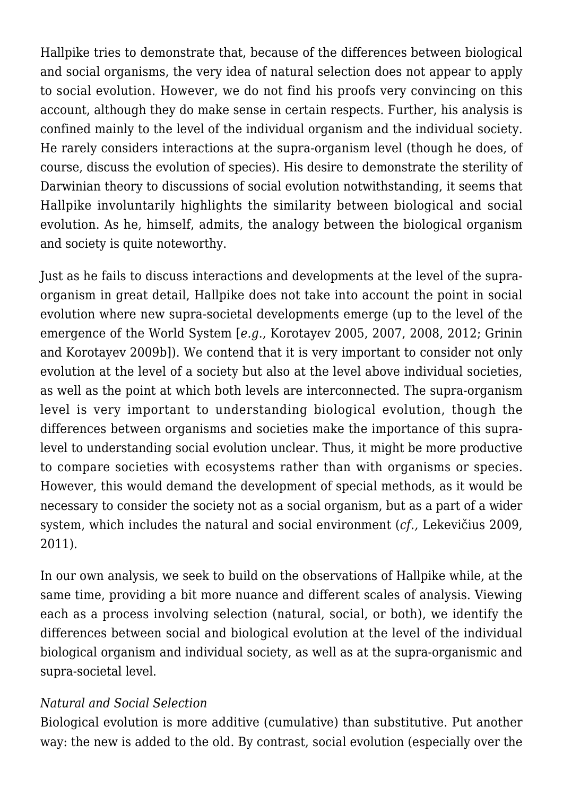Hallpike tries to demonstrate that, because of the differences between biological and social organisms, the very idea of natural selection does not appear to apply to social evolution. However, we do not find his proofs very convincing on this account, although they do make sense in certain respects. Further, his analysis is confined mainly to the level of the individual organism and the individual society. He rarely considers interactions at the supra-organism level (though he does, of course, discuss the evolution of species). His desire to demonstrate the sterility of Darwinian theory to discussions of social evolution notwithstanding, it seems that Hallpike involuntarily highlights the similarity between biological and social evolution. As he, himself, admits, the analogy between the biological organism and society is quite noteworthy.

Just as he fails to discuss interactions and developments at the level of the supraorganism in great detail, Hallpike does not take into account the point in social evolution where new supra-societal developments emerge (up to the level of the emergence of the World System [*e.g.*, Korotayev 2005, 2007, 2008, 2012; Grinin and Korotayev 2009b]). We contend that it is very important to consider not only evolution at the level of a society but also at the level above individual societies, as well as the point at which both levels are interconnected. The supra-organism level is very important to understanding biological evolution, though the differences between organisms and societies make the importance of this supralevel to understanding social evolution unclear. Thus, it might be more productive to compare societies with ecosystems rather than with organisms or species. However, this would demand the development of special methods, as it would be necessary to consider the society not as a social organism, but as a part of a wider system, which includes the natural and social environment (*cf.,* Lekevičius 2009, 2011).

In our own analysis, we seek to build on the observations of Hallpike while, at the same time, providing a bit more nuance and different scales of analysis. Viewing each as a process involving selection (natural, social, or both), we identify the differences between social and biological evolution at the level of the individual biological organism and individual society, as well as at the supra-organismic and supra-societal level.

### *Natural and Social Selection*

Biological evolution is more additive (cumulative) than substitutive. Put another way: the new is added to the old. By contrast, social evolution (especially over the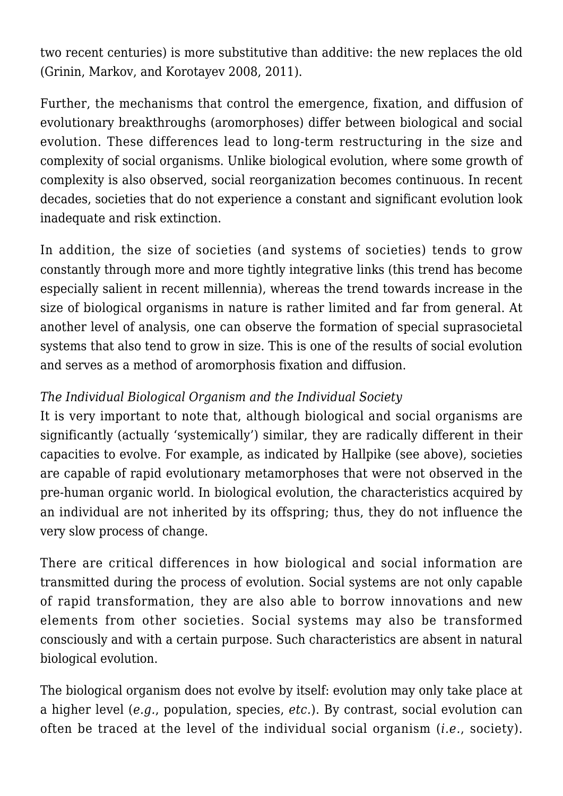two recent centuries) is more substitutive than additive: the new replaces the old (Grinin, Markov, and Korotayev 2008, 2011).

Further, the mechanisms that control the emergence, fixation, and diffusion of evolutionary breakthroughs (aromorphoses) differ between biological and social evolution. These differences lead to long-term restructuring in the size and complexity of social organisms. Unlike biological evolution, where some growth of complexity is also observed, social reorganization becomes continuous. In recent decades, societies that do not experience a constant and significant evolution look inadequate and risk extinction.

In addition, the size of societies (and systems of societies) tends to grow constantly through more and more tightly integrative links (this trend has become especially salient in recent millennia), whereas the trend towards increase in the size of biological organisms in nature is rather limited and far from general. At another level of analysis, one can observe the formation of special suprasocietal systems that also tend to grow in size. This is one of the results of social evolution and serves as a method of aromorphosis fixation and diffusion.

## *The Individual Biological Organism and the Individual Society*

It is very important to note that, although biological and social organisms are significantly (actually 'systemically') similar, they are radically different in their capacities to evolve. For example, as indicated by Hallpike (see above), societies are capable of rapid evolutionary metamorphoses that were not observed in the pre-human organic world. In biological evolution, the characteristics acquired by an individual are not inherited by its offspring; thus, they do not influence the very slow process of change.

There are critical differences in how biological and social information are transmitted during the process of evolution. Social systems are not only capable of rapid transformation, they are also able to borrow innovations and new elements from other societies. Social systems may also be transformed consciously and with a certain purpose. Such characteristics are absent in natural biological evolution.

The biological organism does not evolve by itself: evolution may only take place at a higher level (*e.g.*, population, species, *etc.*). By contrast, social evolution can often be traced at the level of the individual social organism (*i.e.*, society).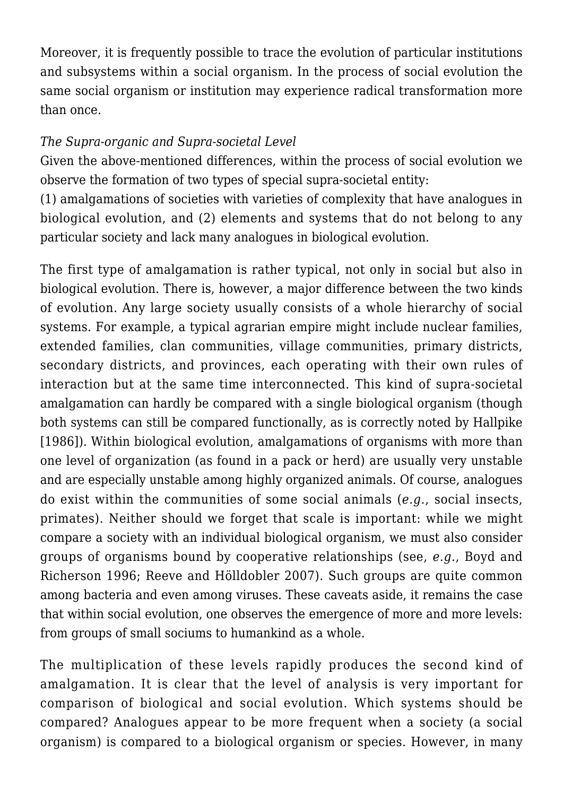Moreover, it is frequently possible to trace the evolution of particular institutions and subsystems within a social organism. In the process of social evolution the same social organism or institution may experience radical transformation more than once.

## *The Supra-organic and Supra-societal Level*

Given the above-mentioned differences, within the process of social evolution we observe the formation of two types of special supra-societal entity:

(1) amalgamations of societies with varieties of complexity that have analogues in biological evolution, and (2) elements and systems that do not belong to any particular society and lack many analogues in biological evolution.

The first type of amalgamation is rather typical, not only in social but also in biological evolution. There is, however, a major difference between the two kinds of evolution. Any large society usually consists of a whole hierarchy of social systems. For example, a typical agrarian empire might include nuclear families, extended families, clan communities, village communities, primary districts, secondary districts, and provinces, each operating with their own rules of interaction but at the same time interconnected. This kind of supra-societal amalgamation can hardly be compared with a single biological organism (though both systems can still be compared functionally, as is correctly noted by Hallpike [1986]). Within biological evolution, amalgamations of organisms with more than one level of organization (as found in a pack or herd) are usually very unstable and are especially unstable among highly organized animals. Of course, analogues do exist within the communities of some social animals (*e.g.*, social insects, primates). Neither should we forget that scale is important: while we might compare a society with an individual biological organism, we must also consider groups of organisms bound by cooperative relationships (see, *e.g.*, Boyd and Richerson 1996; Reeve and Hölldobler 2007). Such groups are quite common among bacteria and even among viruses. These caveats aside, it remains the case that within social evolution, one observes the emergence of more and more levels: from groups of small sociums to humankind as a whole.

The multiplication of these levels rapidly produces the second kind of amalgamation. It is clear that the level of analysis is very important for comparison of biological and social evolution. Which systems should be compared? Analogues appear to be more frequent when a society (a social organism) is compared to a biological organism or species. However, in many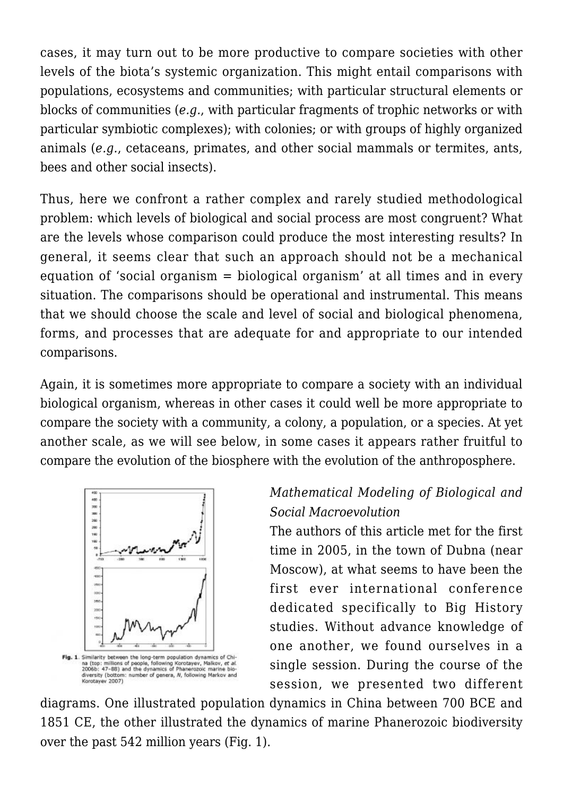cases, it may turn out to be more productive to compare societies with other levels of the biota's systemic organization. This might entail comparisons with populations, ecosystems and communities; with particular structural elements or blocks of communities (*e.g.*, with particular fragments of trophic networks or with particular symbiotic complexes); with colonies; or with groups of highly organized animals (*e.g.*, cetaceans, primates, and other social mammals or termites, ants, bees and other social insects).

Thus, here we confront a rather complex and rarely studied methodological problem: which levels of biological and social process are most congruent? What are the levels whose comparison could produce the most interesting results? In general, it seems clear that such an approach should not be a mechanical equation of 'social organism = biological organism' at all times and in every situation. The comparisons should be operational and instrumental. This means that we should choose the scale and level of social and biological phenomena, forms, and processes that are adequate for and appropriate to our intended comparisons.

Again, it is sometimes more appropriate to compare a society with an individual biological organism, whereas in other cases it could well be more appropriate to compare the society with a community, a colony, a population, or a species. At yet another scale, as we will see below, in some cases it appears rather fruitful to compare the evolution of the biosphere with the evolution of the anthroposphere.



# *Mathematical Modeling of Biological and Social Macroevolution*

The authors of this article met for the first time in 2005, in the town of Dubna (near Moscow), at what seems to have been the first ever international conference dedicated specifically to Big History studies. Without advance knowledge of one another, we found ourselves in a single session. During the course of the session, we presented two different

diagrams. One illustrated population dynamics in China between 700 BCE and 1851 CE, the other illustrated the dynamics of marine Phanerozoic biodiversity over the past 542 million years (Fig. 1).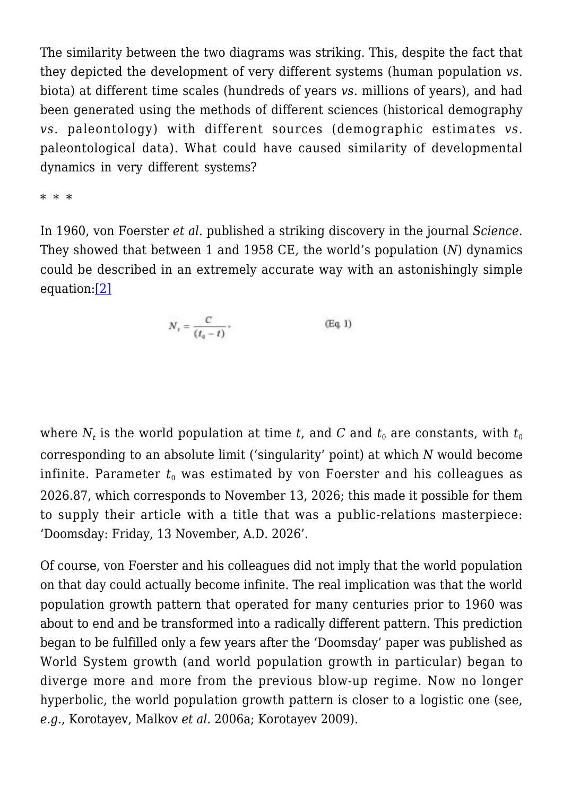The similarity between the two diagrams was striking. This, despite the fact that they depicted the development of very different systems (human population *vs.* biota) at different time scales (hundreds of years *vs.* millions of years), and had been generated using the methods of different sciences (historical demography *vs.* paleontology) with different sources (demographic estimates *vs.* paleontological data). What could have caused similarity of developmental dynamics in very different systems?

\* \* \*

<span id="page-10-0"></span>In 1960, von Foerster *et al.* published a striking discovery in the journal *Science*. They showed that between 1 and 1958 CE, the world's population (*N*) dynamics could be described in an extremely accurate way with an astonishingly simple equation:[\[2\]](#page-32-1)

$$
N_t = \frac{C}{(t_a - t)},
$$
 (Eq. 1)

where  $N_t$  is the world population at time  $t$ , and  $C$  and  $t_0$  are constants, with  $t_0$ corresponding to an absolute limit ('singularity' point) at which *N* would become infinite. Parameter  $t_0$  was estimated by von Foerster and his colleagues as 2026.87, which corresponds to November 13, 2026; this made it possible for them to supply their article with a title that was a public-relations masterpiece: 'Doomsday: Friday, 13 November, A.D. 2026'.

Of course, von Foerster and his colleagues did not imply that the world population on that day could actually become infinite. The real implication was that the world population growth pattern that operated for many centuries prior to 1960 was about to end and be transformed into a radically different pattern. This prediction began to be fulfilled only a few years after the 'Doomsday' paper was published as World System growth (and world population growth in particular) began to diverge more and more from the previous blow-up regime. Now no longer hyperbolic, the world population growth pattern is closer to a logistic one (see, *e.g.*, Korotayev, Malkov *et al.* 2006a; Korotayev 2009).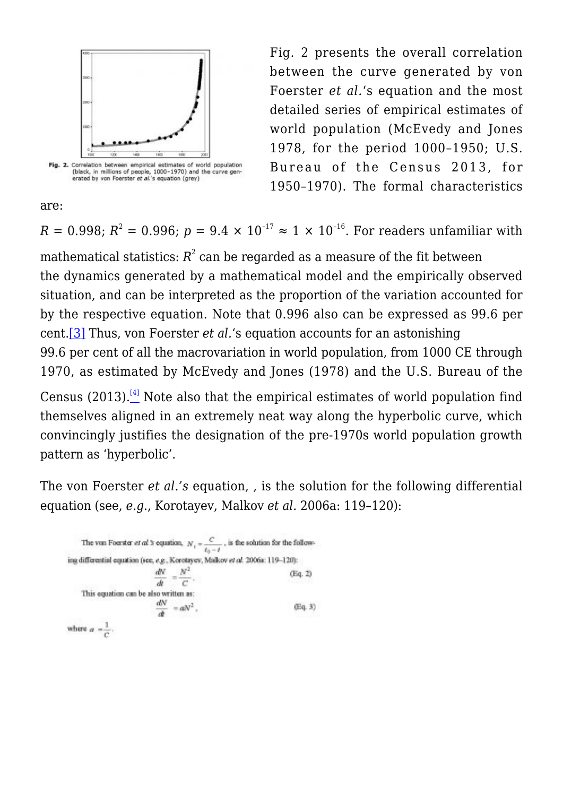

are:

Fig. 2 presents the overall correlation between the curve generated by von Foerster *et al.*'s equation and the most detailed series of empirical estimates of world population (McEvedy and Jones 1978, for the period 1000–1950; U.S. Bureau of the Census 2013, for 1950–1970). The formal characteristics

 $R = 0.998; \, R^2 = 0.996; \, p = 9.4 \times 10^{-17} \approx 1 \times 10^{-16}.$  For readers unfamiliar with

mathematical statistics:  $R^2$  can be regarded as a measure of the fit between the dynamics generated by a mathematical model and the empirically observed situation, and can be interpreted as the proportion of the variation accounted for by the respective equation. Note that 0.996 also can be expressed as 99.6 per cent[.\[3\]](#page-32-2) Thus, von Foerster *et al.*'s equation accounts for an astonishing 99.6 per cent of all the macrovariation in world population, from 1000 CE through 1970, as estimated by McEvedy and Jones (1978) and the U.S. Bureau of the

<span id="page-11-1"></span><span id="page-11-0"></span>Census  $(2013)$ .<sup>[\[4\]](#page-33-0)</sup> Note also that the empirical estimates of world population find themselves aligned in an extremely neat way along the hyperbolic curve, which convincingly justifies the designation of the pre-1970s world population growth pattern as 'hyperbolic'.

The von Foerster *et al.'s* equation, , is the solution for the following differential equation (see, *e.g.*, Korotayev, Malkov *et al.* 2006a: 119–120):

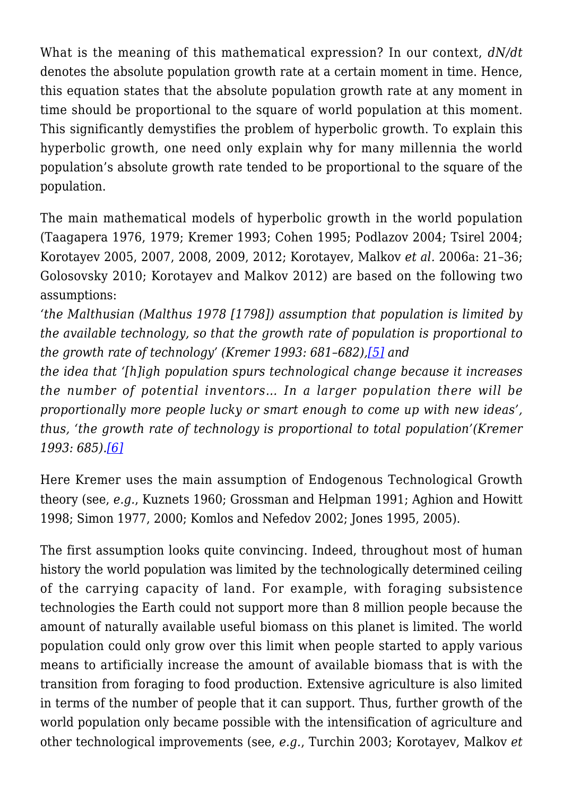What is the meaning of this mathematical expression? In our context, *dN/dt* denotes the absolute population growth rate at a certain moment in time. Hence, this equation states that the absolute population growth rate at any moment in time should be proportional to the square of world population at this moment. This significantly demystifies the problem of hyperbolic growth. To explain this hyperbolic growth, one need only explain why for many millennia the world population's absolute growth rate tended to be proportional to the square of the population.

The main mathematical models of hyperbolic growth in the world population (Taagapera 1976, 1979; Kremer 1993; Cohen 1995; Podlazov 2004; Tsirel 2004; Korotayev 2005, 2007, 2008, 2009, 2012; Korotayev, Malkov *et al.* 2006a: 21–36; Golosovsky 2010; Korotayev and Malkov 2012) are based on the following two assumptions:

*'the Malthusian (Malthus 1978 [1798]) assumption that population is limited by the available technology, so that the growth rate of population is proportional to the growth rate of technology' (Kremer 1993: 681–682)[,\[5\]](#page-33-1) and*

<span id="page-12-0"></span>*the idea that '[h]igh population spurs technological change because it increases the number of potential inventors… In a larger population there will be proportionally more people lucky or smart enough to come up with new ideas', thus, 'the growth rate of technology is proportional to total population'(Kremer 1993: 685)[.\[6\]](#page-33-2)*

<span id="page-12-1"></span>Here Kremer uses the main assumption of Endogenous Technological Growth theory (see, *e.g.*, Kuznets 1960; Grossman and Helpman 1991; Aghion and Howitt 1998; Simon 1977, 2000; Komlos and Nefedov 2002; Jones 1995, 2005).

The first assumption looks quite convincing. Indeed, throughout most of human history the world population was limited by the technologically determined ceiling of the carrying capacity of land. For example, with foraging subsistence technologies the Earth could not support more than 8 million people because the amount of naturally available useful biomass on this planet is limited. The world population could only grow over this limit when people started to apply various means to artificially increase the amount of available biomass that is with the transition from foraging to food production. Extensive agriculture is also limited in terms of the number of people that it can support. Thus, further growth of the world population only became possible with the intensification of agriculture and other technological improvements (see, *e.g.*, Turchin 2003; Korotayev, Malkov *et*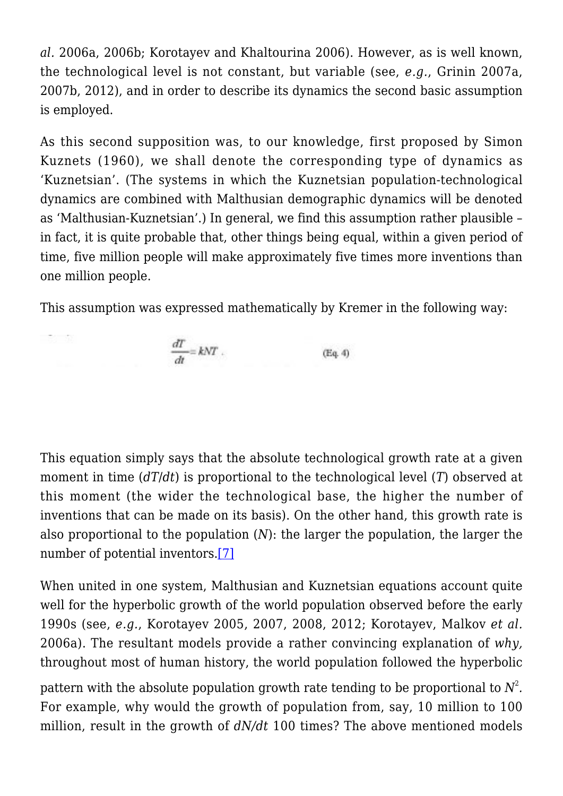*al.* 2006a, 2006b; Korotayev and Khaltourina 2006). However, as is well known, the technological level is not constant, but variable (see, *e.g.*, Grinin 2007a, 2007b, 2012), and in order to describe its dynamics the second basic assumption is employed.

As this second supposition was, to our knowledge, first proposed by Simon Kuznets (1960), we shall denote the corresponding type of dynamics as 'Kuznetsian'. (The systems in which the Kuznetsian population-technological dynamics are combined with Malthusian demographic dynamics will be denoted as 'Malthusian-Kuznetsian'.) In general, we find this assumption rather plausible – in fact, it is quite probable that, other things being equal, within a given period of time, five million people will make approximately five times more inventions than one million people.

This assumption was expressed mathematically by Kremer in the following way:



高川 ())

This equation simply says that the absolute technological growth rate at a given moment in time (*dT*/*dt*) is proportional to the technological level (*T*) observed at this moment (the wider the technological base, the higher the number of inventions that can be made on its basis). On the other hand, this growth rate is also proportional to the population (*N*): the larger the population, the larger the number of potential inventors[.\[7\]](#page-33-3)

<span id="page-13-0"></span>When united in one system, Malthusian and Kuznetsian equations account quite well for the hyperbolic growth of the world population observed before the early 1990s (see, *e.g.*, Korotayev 2005, 2007, 2008, 2012; Korotayev, Malkov *et al.* 2006a). The resultant models provide a rather convincing explanation of *why,* throughout most of human history, the world population followed the hyperbolic

pattern with the absolute population growth rate tending to be proportional to  $N^2$ *.* For example, why would the growth of population from, say, 10 million to 100 million, result in the growth of *dN/dt* 100 times? The above mentioned models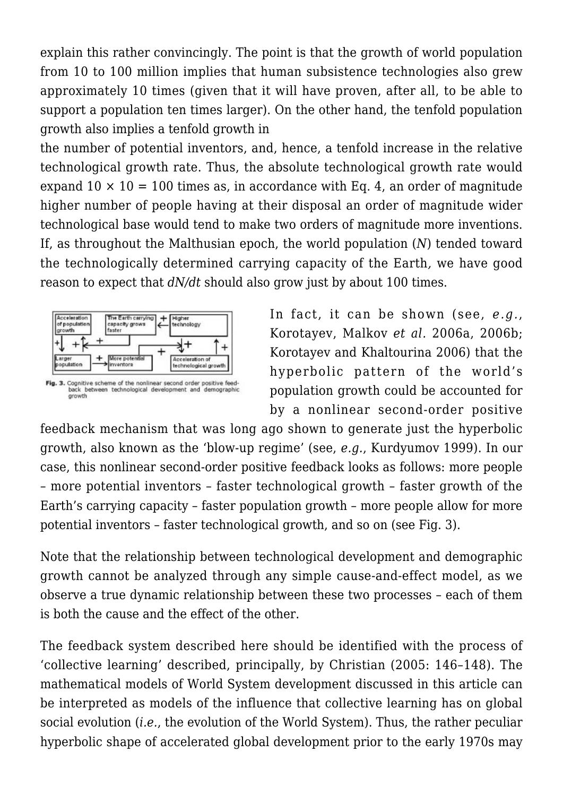explain this rather convincingly. The point is that the growth of world population from 10 to 100 million implies that human subsistence technologies also grew approximately 10 times (given that it will have proven, after all, to be able to support a population ten times larger). On the other hand, the tenfold population growth also implies a tenfold growth in

the number of potential inventors, and, hence, a tenfold increase in the relative technological growth rate. Thus, the absolute technological growth rate would expand  $10 \times 10 = 100$  times as, in accordance with Eq. 4, an order of magnitude higher number of people having at their disposal an order of magnitude wider technological base would tend to make two orders of magnitude more inventions. If, as throughout the Malthusian epoch, the world population (*N*) tended toward the technologically determined carrying capacity of the Earth*,* we have good reason to expect that *dN/dt* should also grow just by about 100 times.



In fact, it can be shown (see, *e.g.*, Korotayev, Malkov *et al.* 2006a, 2006b; Korotayev and Khaltourina 2006) that the hyperbolic pattern of the world's population growth could be accounted for by a nonlinear second-order positive

feedback mechanism that was long ago shown to generate just the hyperbolic growth, also known as the 'blow-up regime' (see, *e.g.*, Kurdyumov 1999). In our case, this nonlinear second-order positive feedback looks as follows: more people – more potential inventors – faster technological growth – faster growth of the Earth's carrying capacity – faster population growth – more people allow for more potential inventors – faster technological growth, and so on (see Fig. 3).

Note that the relationship between technological development and demographic growth cannot be analyzed through any simple cause-and-effect model, as we observe a true dynamic relationship between these two processes – each of them is both the cause and the effect of the other.

The feedback system described here should be identified with the process of 'collective learning' described, principally, by Christian (2005: 146–148). The mathematical models of World System development discussed in this article can be interpreted as models of the influence that collective learning has on global social evolution (*i.e.*, the evolution of the World System). Thus, the rather peculiar hyperbolic shape of accelerated global development prior to the early 1970s may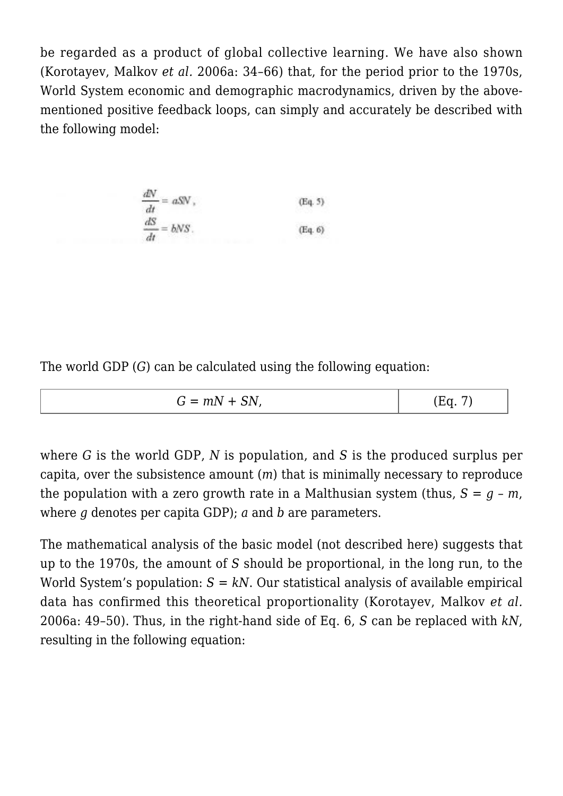be regarded as a product of global collective learning. We have also shown (Korotayev, Malkov *et al.* 2006a: 34–66) that, for the period prior to the 1970s, World System economic and demographic macrodynamics, driven by the abovementioned positive feedback loops, can simply and accurately be described with the following model:

$$
\frac{dN}{dt} = aSV, \qquad (Eq. 5)
$$
  

$$
\frac{dS}{dt} = bNS.
$$
 (Eq. 6)

The world GDP (*G*) can be calculated using the following equation:

| $G = mN + SN$ , | (Eq. 7) |
|-----------------|---------|
|-----------------|---------|

where *G* is the world GDP, *N* is population, and *S* is the produced surplus per capita, over the subsistence amount (*m*) that is minimally necessary to reproduce the population with a zero growth rate in a Malthusian system (thus,  $S = q - m$ , where *g* denotes per capita GDP); *a* and *b* are parameters.

The mathematical analysis of the basic model (not described here) suggests that up to the 1970s, the amount of *S* should be proportional, in the long run, to the World System's population:  $S = kN$ . Our statistical analysis of available empirical data has confirmed this theoretical proportionality (Korotayev, Malkov *et al.* 2006a: 49–50). Thus, in the right-hand side of Eq. 6, *S* can be replaced with *kN*, resulting in the following equation: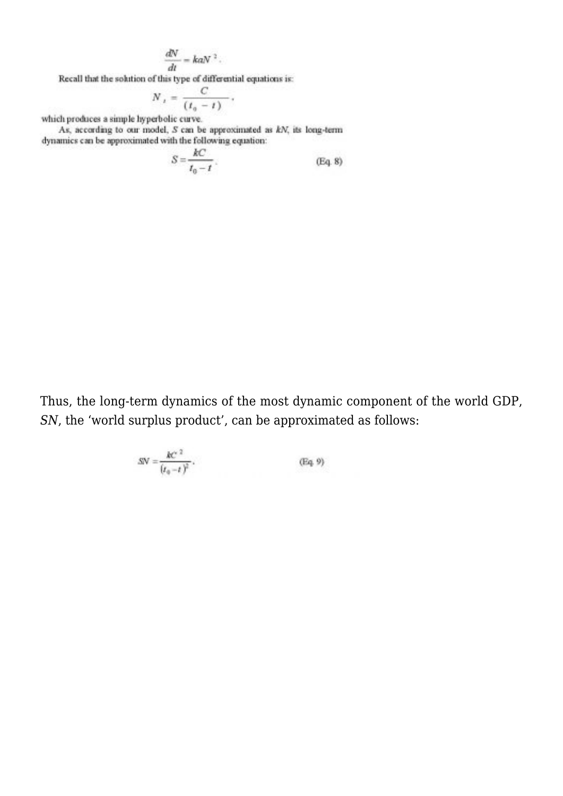$$
\frac{dN}{dt} = kaN^2.
$$

Recall that the solution of this type of differential equations is:

$$
N_{t} = \frac{C}{(t_{0}-t)}
$$

which produces a simple hyperbolic curve.

As, according to our model,  $S$  can be approximated as  $kN_i$  its long-term dynamics can be approximated with the following equation:

$$
S = \frac{kC}{t_0 - t} \, . \tag{Eq. 8}
$$

Thus, the long-term dynamics of the most dynamic component of the world GDP, *SN*, the 'world surplus product', can be approximated as follows:

$$
SN = \frac{kc^{-2}}{(t_0 - t)^2}.
$$
 (Eq. 9)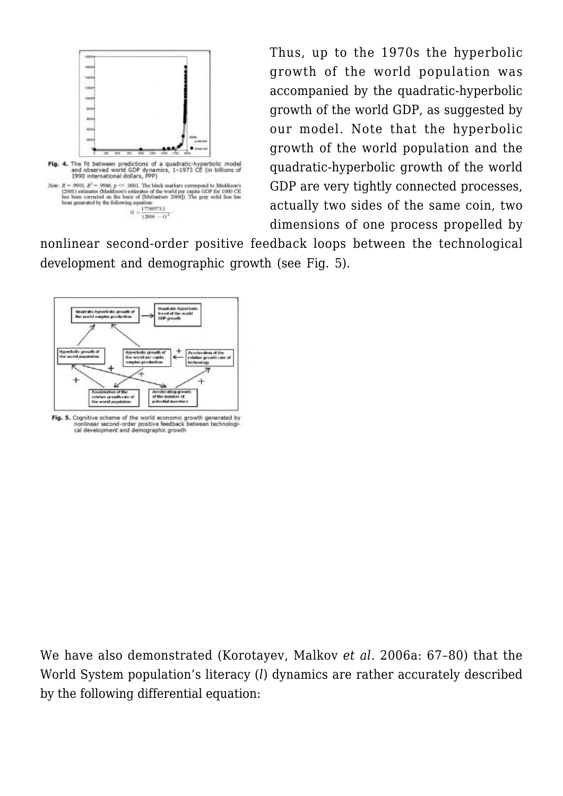

Thus, up to the 1970s the hyperbolic growth of the world population was accompanied by the quadratic-hyperbolic growth of the world GDP, as suggested by our model. Note that the hyperbolic growth of the world population and the quadratic-hyperbolic growth of the world GDP are very tightly connected processes, actually two sides of the same coin, two dimensions of one process propelled by

nonlinear second-order positive feedback loops between the technological development and demographic growth (see Fig. 5).



Fig. 5. Cognitive scheme of the world economic growth generated by nonlinear second-order positive feedback<br>cal development and demographic growth between technolog

We have also demonstrated (Korotayev, Malkov *et al.* 2006a: 67–80) that the World System population's literacy (*l*) dynamics are rather accurately described by the following differential equation: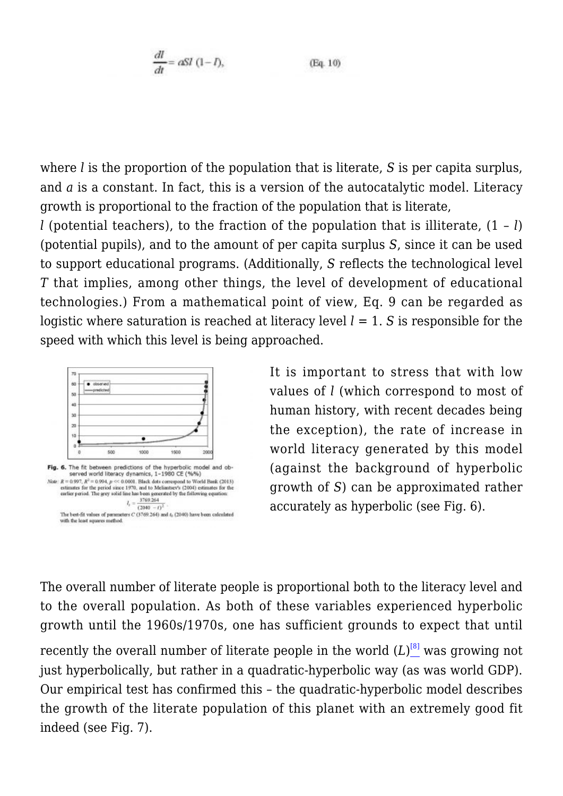$$
\frac{dl}{dt} = aSI \ (1 - I), \qquad (Eq. 10)
$$

where *l* is the proportion of the population that is literate, *S* is per capita surplus, and *a* is a constant. In fact, this is a version of the autocatalytic model. Literacy growth is proportional to the fraction of the population that is literate,

*l* (potential teachers), to the fraction of the population that is illiterate,  $(1 - l)$ (potential pupils), and to the amount of per capita surplus *S*, since it can be used to support educational programs. (Additionally, *S* reflects the technological level *T* that implies, among other things, the level of development of educational technologies.) From a mathematical point of view, Eq. 9 can be regarded as logistic where saturation is reached at literacy level  $l = 1$ . *S* is responsible for the speed with which this level is being approached.



It is important to stress that with low values of *l* (which correspond to most of human history, with recent decades being the exception), the rate of increase in world literacy generated by this model (against the background of hyperbolic growth of *S*) can be approximated rather accurately as hyperbolic (see Fig. 6).

The overall number of literate people is proportional both to the literacy level and to the overall population. As both of these variables experienced hyperbolic growth until the 1960s/1970s, one has sufficient grounds to expect that until

<span id="page-18-0"></span>recently the overall number of literate people in the world (L)<sup>[\[8\]](#page-33-4)</sup> was growing not just hyperbolically, but rather in a quadratic-hyperbolic way (as was world GDP). Our empirical test has confirmed this – the quadratic-hyperbolic model describes the growth of the literate population of this planet with an extremely good fit indeed (see Fig. 7).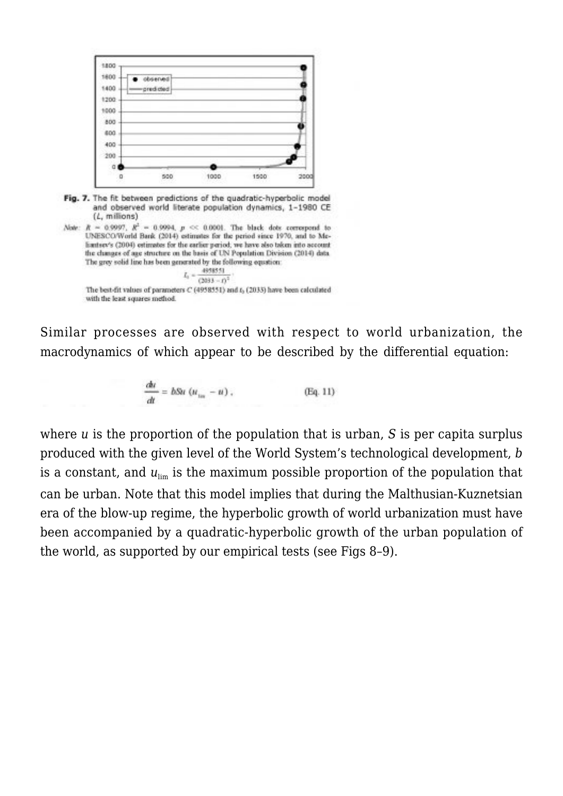



The best-fit values of parameters C (4958551) and L (2035) have been calculated with the least squares method.

Similar processes are observed with respect to world urbanization, the macrodynamics of which appear to be described by the differential equation:

$$
\frac{du}{dt} = b\delta u \left( u_{\text{in}} - u \right), \tag{Eq. 11}
$$

where *u* is the proportion of the population that is urban, *S* is per capita surplus produced with the given level of the World System's technological development, *b* is a constant, and  $u_{\text{lim}}$  is the maximum possible proportion of the population that can be urban. Note that this model implies that during the Malthusian-Kuznetsian era of the blow-up regime, the hyperbolic growth of world urbanization must have been accompanied by a quadratic-hyperbolic growth of the urban population of the world, as supported by our empirical tests (see Figs 8–9).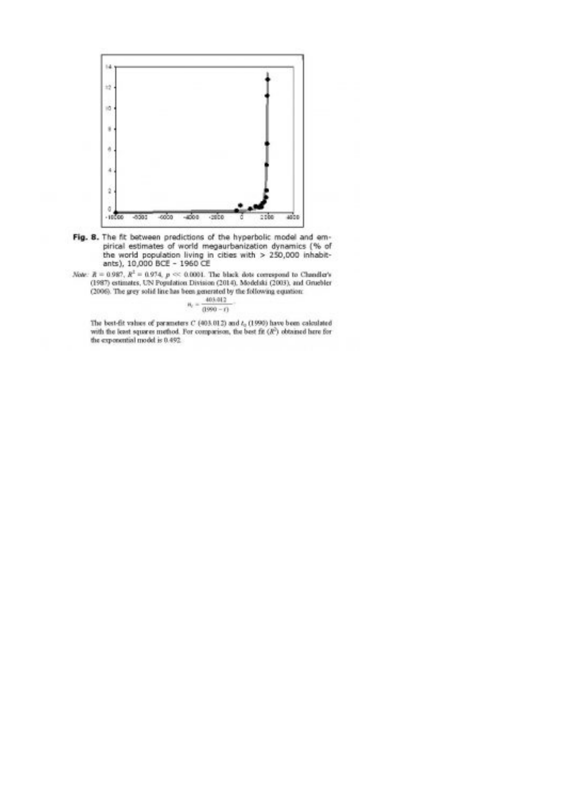

- Fig. 8. The fit between predictions of the hyperbolic model and empirical estimates of world megaurbanization dynamics (% of the world population living in cities with  $> 250,000$  inhabitants),  $10,000$  BCE -  $1960$  CE
- Now:  $R=0.987,\,R^2=0.974,\,p\ll 0.0004.$  The black dots correspond to Chandler's (1987) estimates, UN Population Division (2014), Modelski (2003), and Gruebler (2006). The grey solid line has been generated by the following equation:

$$
n_c = \frac{400.012}{(1990 - t)}
$$

The best-fit values of parameters  $C$  (403.012) and  $t_0$  (1990) have been calculated with the least squares method. For comparison, the best fit  $(R^2)$  obtained here for the exponential model is 0.492.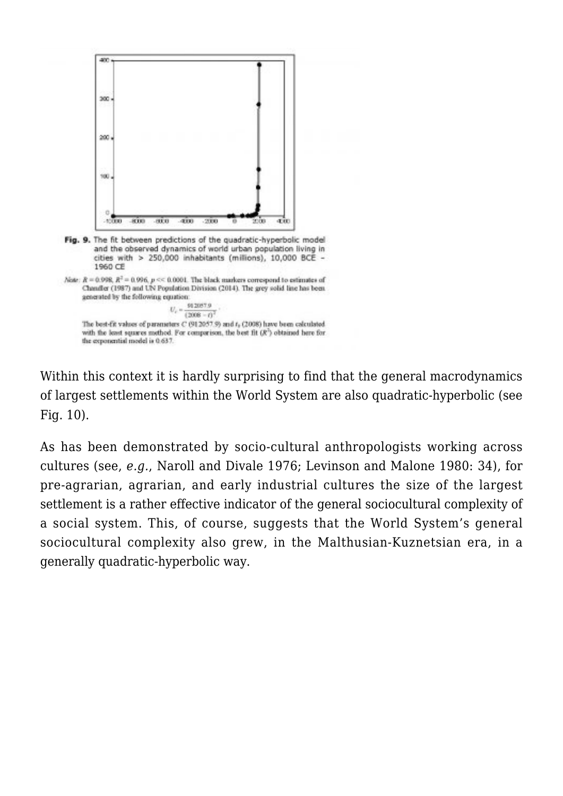

Within this context it is hardly surprising to find that the general macrodynamics of largest settlements within the World System are also quadratic-hyperbolic (see Fig. 10).

As has been demonstrated by socio-cultural anthropologists working across cultures (see, *e.g.*, Naroll and Divale 1976; Levinson and Malone 1980: 34), for pre-agrarian, agrarian, and early industrial cultures the size of the largest settlement is a rather effective indicator of the general sociocultural complexity of a social system. This, of course, suggests that the World System's general sociocultural complexity also grew, in the Malthusian-Kuznetsian era, in a generally quadratic-hyperbolic way.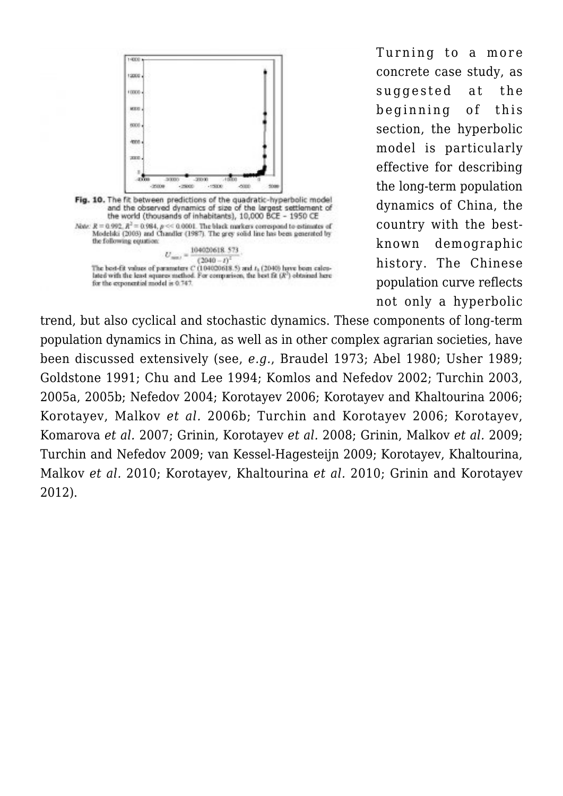

Turning to a more concrete case study, as suggested at the beginning of this section, the hyperbolic model is particularly effective for describing the long-term population dynamics of China, the country with the bestknown demographic history. The Chinese population curve reflects not only a hyperbolic

trend, but also cyclical and stochastic dynamics. These components of long-term population dynamics in China, as well as in other complex agrarian societies, have been discussed extensively (see, *e.g.*, Braudel 1973; Abel 1980; Usher 1989; Goldstone 1991; Chu and Lee 1994; Komlos and Nefedov 2002; Turchin 2003, 2005a, 2005b; Nefedov 2004; Korotayev 2006; Korotayev and Khaltourina 2006; Korotayev, Malkov *et al.* 2006b; Turchin and Korotayev 2006; Korotayev, Komarova *et al.* 2007; Grinin, Korotayev *et al.* 2008; Grinin, Malkov *et al.* 2009; Turchin and Nefedov 2009; van Kessel-Hagesteijn 2009; Korotayev, Khaltourina, Malkov *et al.* 2010; Korotayev, Khaltourina *et al.* 2010; Grinin and Korotayev 2012).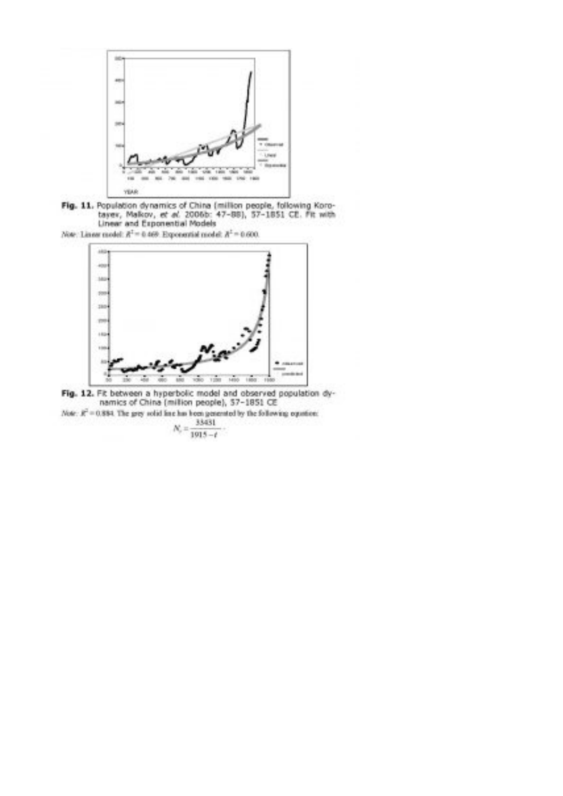

Fig. 11. Population dynamics of China (million people, following Koro-tayer, Malkov, et al. 2006b: 47-88), 57-1851 CE. Fit with Linear and Exponential Models

Now: Linear model:  $R^2 = 0.469$ . Exponential model:  $R^2 = 0.600$ .



Fig. 12. Fit between a hyperbolic model and observed population dy-<br>namics of China (million people), 57-1851 CE Note:  $R^2 = 0.884$ . The grey solid line has been generated by the following equation:

33431  $N_{\rm c}$  .  $1915 - t$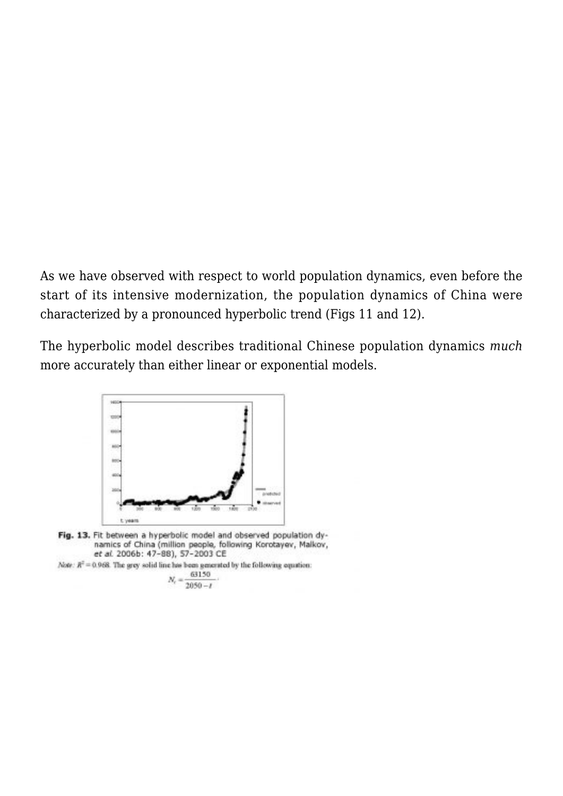As we have observed with respect to world population dynamics, even before the start of its intensive modernization, the population dynamics of China were characterized by a pronounced hyperbolic trend (Figs 11 and 12).

The hyperbolic model describes traditional Chinese population dynamics *much* more accurately than either linear or exponential models.



Fig. 13. Fit between a hyperbolic model and observed population dynamics of China (million people, following Korotayev, Malkov, et al. 2006b: 47-88), 57-2003 CE

Note:  $R^2 = 0.968$ . The grey solid line has been generated by the following equation:

$$
N_c = \frac{63150}{2050 - t}
$$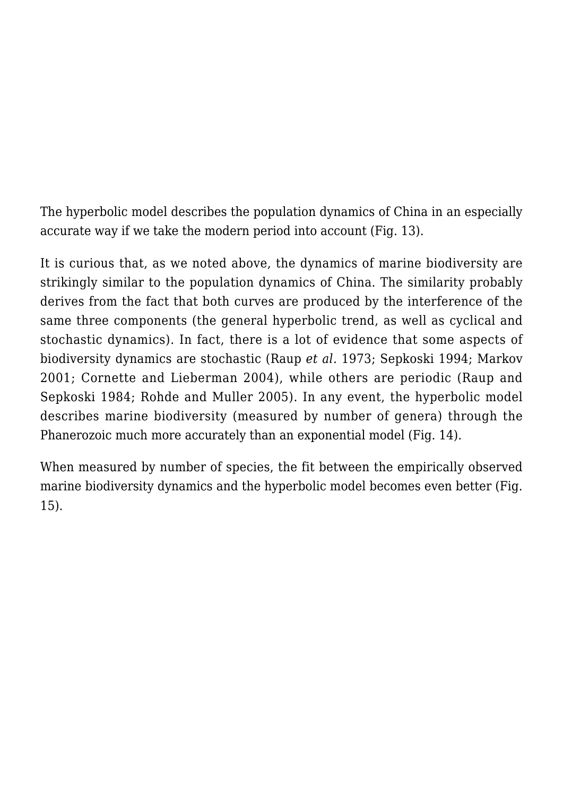The hyperbolic model describes the population dynamics of China in an especially accurate way if we take the modern period into account (Fig. 13).

It is curious that, as we noted above, the dynamics of marine biodiversity are strikingly similar to the population dynamics of China. The similarity probably derives from the fact that both curves are produced by the interference of the same three components (the general hyperbolic trend, as well as cyclical and stochastic dynamics). In fact, there is a lot of evidence that some aspects of biodiversity dynamics are stochastic (Raup *et al.* 1973; Sepkoski 1994; Markov 2001; Cornette and Lieberman 2004), while others are periodic (Raup and Sepkoski 1984; Rohde and Muller 2005). In any event, the hyperbolic model describes marine biodiversity (measured by number of genera) through the Phanerozoic much more accurately than an exponential model (Fig. 14).

When measured by number of species, the fit between the empirically observed marine biodiversity dynamics and the hyperbolic model becomes even better (Fig. 15).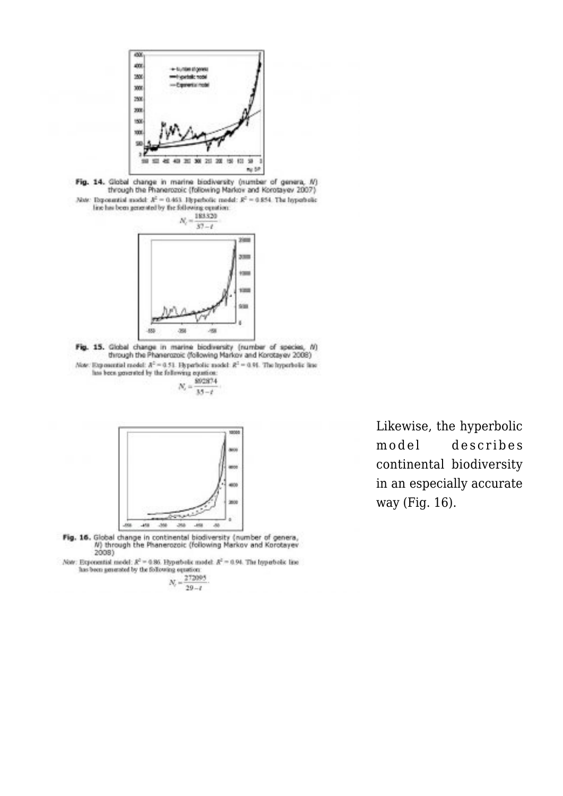





Fig. 15. Clobal change in marine biodiversity (number of species, /t) through the Phanenszoic (following Markov and Korotayev 2008) Through the Phanerozon: (rolewing Markov and Korotayev 2008)<br>Note: Expositiol model:  $R^2 = 0.51$ . Hyperbolic model:  $R^2 = 0.91$ . The hyperbolic line<br>has been generated by the following equation:<br> $N_c = \frac{8003874}{N}$ .





Fig. 16. Global change in continental biodiversity (number of genera,<br>
N) through the Phanerozoic (following Markov and Korotayev  $2008$ 

Now: Exponential model:  $R^2 = 0.86$ . Hyperbolic model:  $R^2 = 0.94$ . The hyperbolic line has been generated by the following opustion:

 $N_c = \frac{272095}{30}$  $29 - i$ 

Likewise, the hyperbolic model describes continental biodiversity in an especially accurate way (Fig. 16).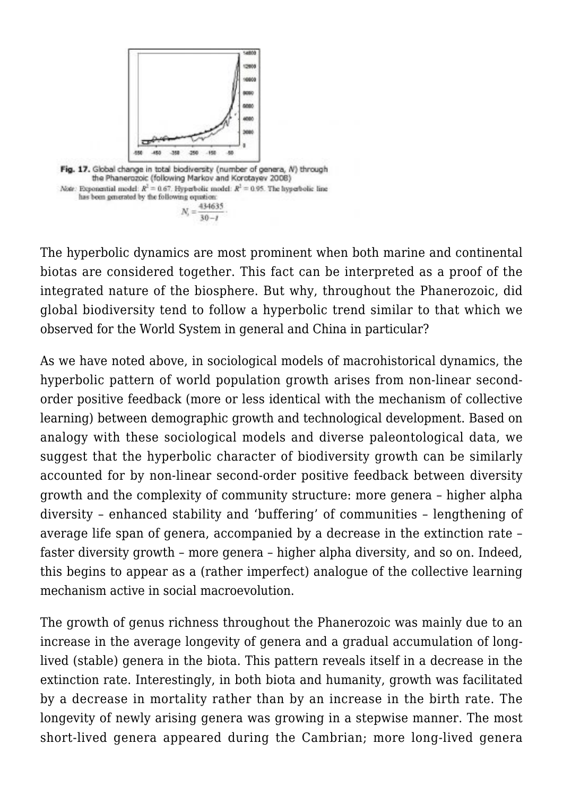

The hyperbolic dynamics are most prominent when both marine and continental biotas are considered together. This fact can be interpreted as a proof of the integrated nature of the biosphere. But why, throughout the Phanerozoic, did global biodiversity tend to follow a hyperbolic trend similar to that which we observed for the World System in general and China in particular?

As we have noted above, in sociological models of macrohistorical dynamics, the hyperbolic pattern of world population growth arises from non-linear secondorder positive feedback (more or less identical with the mechanism of collective learning) between demographic growth and technological development. Based on analogy with these sociological models and diverse paleontological data, we suggest that the hyperbolic character of biodiversity growth can be similarly accounted for by non-linear second-order positive feedback between diversity growth and the complexity of community structure: more genera – higher alpha diversity – enhanced stability and 'buffering' of communities – lengthening of average life span of genera, accompanied by a decrease in the extinction rate – faster diversity growth – more genera – higher alpha diversity, and so on. Indeed, this begins to appear as a (rather imperfect) analogue of the collective learning mechanism active in social macroevolution.

The growth of genus richness throughout the Phanerozoic was mainly due to an increase in the average longevity of genera and a gradual accumulation of longlived (stable) genera in the biota. This pattern reveals itself in a decrease in the extinction rate. Interestingly, in both biota and humanity, growth was facilitated by a decrease in mortality rather than by an increase in the birth rate. The longevity of newly arising genera was growing in a stepwise manner. The most short-lived genera appeared during the Cambrian; more long-lived genera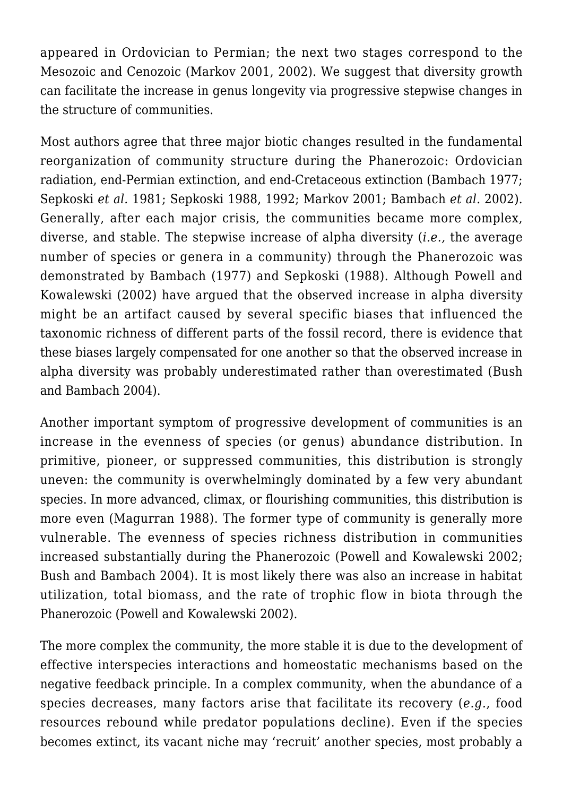appeared in Ordovician to Permian; the next two stages correspond to the Mesozoic and Cenozoic (Markov 2001, 2002). We suggest that diversity growth can facilitate the increase in genus longevity via progressive stepwise changes in the structure of communities.

Most authors agree that three major biotic changes resulted in the fundamental reorganization of community structure during the Phanerozoic: Ordovician radiation, end-Permian extinction, and end-Cretaceous extinction (Bambach 1977; Sepkoski *et al.* 1981; Sepkoski 1988, 1992; Markov 2001; Bambach *et al.* 2002). Generally, after each major crisis, the communities became more complex, diverse, and stable. The stepwise increase of alpha diversity (*i.e.,* the average number of species or genera in a community) through the Phanerozoic was demonstrated by Bambach (1977) and Sepkoski (1988). Although Powell and Kowalewski (2002) have argued that the observed increase in alpha diversity might be an artifact caused by several specific biases that influenced the taxonomic richness of different parts of the fossil record, there is evidence that these biases largely compensated for one another so that the observed increase in alpha diversity was probably underestimated rather than overestimated (Bush and Bambach 2004).

Another important symptom of progressive development of communities is an increase in the evenness of species (or genus) abundance distribution. In primitive, pioneer, or suppressed communities, this distribution is strongly uneven: the community is overwhelmingly dominated by a few very abundant species. In more advanced, climax, or flourishing communities, this distribution is more even (Magurran 1988). The former type of community is generally more vulnerable. The evenness of species richness distribution in communities increased substantially during the Phanerozoic (Powell and Kowalewski 2002; Bush and Bambach 2004). It is most likely there was also an increase in habitat utilization, total biomass, and the rate of trophic flow in biota through the Phanerozoic (Powell and Kowalewski 2002).

The more complex the community, the more stable it is due to the development of effective interspecies interactions and homeostatic mechanisms based on the negative feedback principle. In a complex community, when the abundance of a species decreases, many factors arise that facilitate its recovery (*e.g.*, food resources rebound while predator populations decline). Even if the species becomes extinct, its vacant niche may 'recruit' another species, most probably a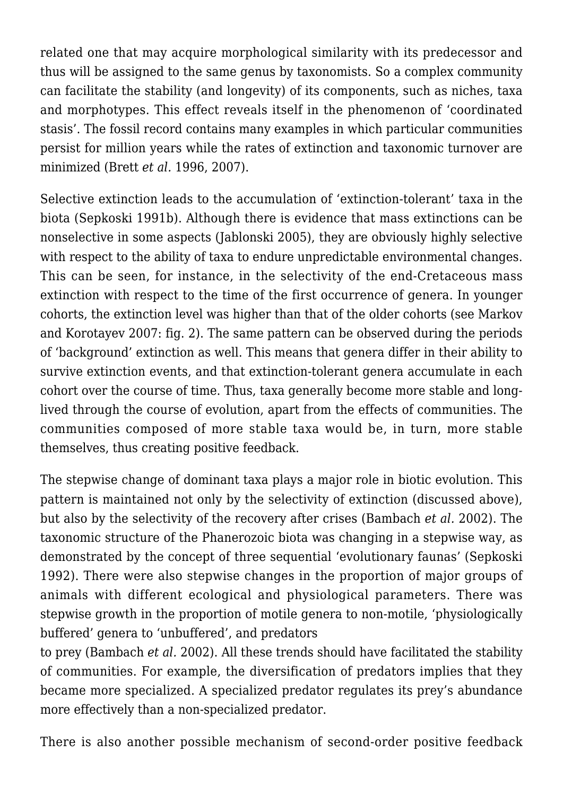related one that may acquire morphological similarity with its predecessor and thus will be assigned to the same genus by taxonomists. So a complex community can facilitate the stability (and longevity) of its components, such as niches, taxa and morphotypes. This effect reveals itself in the phenomenon of 'coordinated stasis'. The fossil record contains many examples in which particular communities persist for million years while the rates of extinction and taxonomic turnover are minimized (Brett *et al.* 1996, 2007).

Selective extinction leads to the accumulation of 'extinction-tolerant' taxa in the biota (Sepkoski 1991b). Although there is evidence that mass extinctions can be nonselective in some aspects (Jablonski 2005), they are obviously highly selective with respect to the ability of taxa to endure unpredictable environmental changes. This can be seen, for instance, in the selectivity of the end-Cretaceous mass extinction with respect to the time of the first occurrence of genera. In younger cohorts, the extinction level was higher than that of the older cohorts (see Markov and Korotayev 2007: fig. 2). The same pattern can be observed during the periods of 'background' extinction as well. This means that genera differ in their ability to survive extinction events, and that extinction-tolerant genera accumulate in each cohort over the course of time. Thus, taxa generally become more stable and longlived through the course of evolution, apart from the effects of communities. The communities composed of more stable taxa would be, in turn, more stable themselves, thus creating positive feedback.

The stepwise change of dominant taxa plays a major role in biotic evolution. This pattern is maintained not only by the selectivity of extinction (discussed above), but also by the selectivity of the recovery after crises (Bambach *et al.* 2002). The taxonomic structure of the Phanerozoic biota was changing in a stepwise way, as demonstrated by the concept of three sequential 'evolutionary faunas' (Sepkoski 1992). There were also stepwise changes in the proportion of major groups of animals with different ecological and physiological parameters. There was stepwise growth in the proportion of motile genera to non-motile, 'physiologically buffered' genera to 'unbuffered', and predators

to prey (Bambach *et al.* 2002). All these trends should have facilitated the stability of communities. For example, the diversification of predators implies that they became more specialized. A specialized predator regulates its prey's abundance more effectively than a non-specialized predator.

There is also another possible mechanism of second-order positive feedback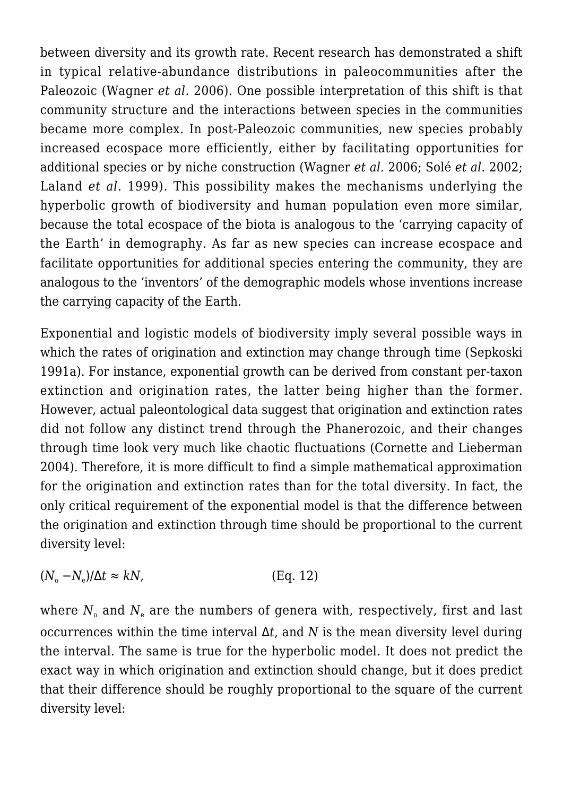between diversity and its growth rate. Recent research has demonstrated a shift in typical relative-abundance distributions in paleocommunities after the Paleozoic (Wagner *et al.* 2006). One possible interpretation of this shift is that community structure and the interactions between species in the communities became more complex. In post-Paleozoic communities, new species probably increased ecospace more efficiently, either by facilitating opportunities for additional species or by niche construction (Wagner *et al.* 2006; Solé *et al.* 2002; Laland *et al.* 1999). This possibility makes the mechanisms underlying the hyperbolic growth of biodiversity and human population even more similar, because the total ecospace of the biota is analogous to the 'carrying capacity of the Earth' in demography. As far as new species can increase ecospace and facilitate opportunities for additional species entering the community, they are analogous to the 'inventors' of the demographic models whose inventions increase the carrying capacity of the Earth.

Exponential and logistic models of biodiversity imply several possible ways in which the rates of origination and extinction may change through time (Sepkoski 1991a). For instance, exponential growth can be derived from constant per-taxon extinction and origination rates, the latter being higher than the former. However, actual paleontological data suggest that origination and extinction rates did not follow any distinct trend through the Phanerozoic, and their changes through time look very much like chaotic fluctuations (Cornette and Lieberman 2004). Therefore, it is more difficult to find a simple mathematical approximation for the origination and extinction rates than for the total diversity. In fact, the only critical requirement of the exponential model is that the difference between the origination and extinction through time should be proportional to the current diversity level:

$$
(N_o - N_e)/\Delta t \approx kN, \tag{Eq. 12}
$$

where  $N_{\circ}$  and  $N_{\rm e}$  are the numbers of genera with, respectively, first and last occurrences within the time interval Δ*t*, and *N* is the mean diversity level during the interval. The same is true for the hyperbolic model. It does not predict the exact way in which origination and extinction should change, but it does predict that their difference should be roughly proportional to the square of the current diversity level: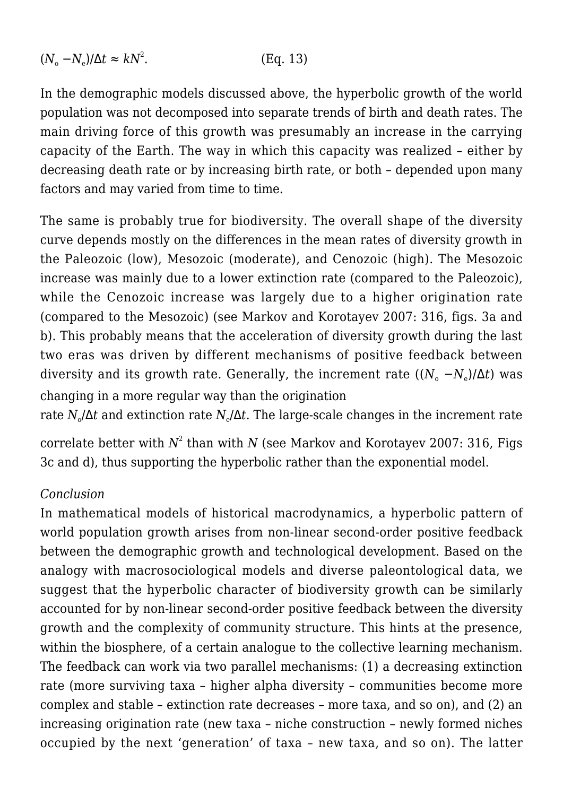$$
(N_{\rm o} - N_{\rm e})/\Delta t \approx kN^2. \tag{Eq. 13}
$$

In the demographic models discussed above, the hyperbolic growth of the world population was not decomposed into separate trends of birth and death rates. The main driving force of this growth was presumably an increase in the carrying capacity of the Earth. The way in which this capacity was realized – either by decreasing death rate or by increasing birth rate, or both – depended upon many factors and may varied from time to time.

The same is probably true for biodiversity. The overall shape of the diversity curve depends mostly on the differences in the mean rates of diversity growth in the Paleozoic (low), Mesozoic (moderate), and Cenozoic (high). The Mesozoic increase was mainly due to a lower extinction rate (compared to the Paleozoic), while the Cenozoic increase was largely due to a higher origination rate (compared to the Mesozoic) (see Markov and Korotayev 2007: 316, figs. 3a and b). This probably means that the acceleration of diversity growth during the last two eras was driven by different mechanisms of positive feedback between diversity and its growth rate. Generally, the increment rate  $((N_{\rm o}\,-N_{\rm e})/\Delta t)$  was changing in a more regular way than the origination

rate  $N_{\circ}/\Delta t$  and extinction rate  $N_{\circ}/\Delta t.$  The large-scale changes in the increment rate

correlate better with  $N^2$  than with  $N$  (see Markov and Korotayev 2007: 316, Figs 3c and d), thus supporting the hyperbolic rather than the exponential model.

#### *Conclusion*

In mathematical models of historical macrodynamics, a hyperbolic pattern of world population growth arises from non-linear second-order positive feedback between the demographic growth and technological development. Based on the analogy with macrosociological models and diverse paleontological data, we suggest that the hyperbolic character of biodiversity growth can be similarly accounted for by non-linear second-order positive feedback between the diversity growth and the complexity of community structure. This hints at the presence, within the biosphere, of a certain analogue to the collective learning mechanism. The feedback can work via two parallel mechanisms: (1) a decreasing extinction rate (more surviving taxa – higher alpha diversity – communities become more complex and stable – extinction rate decreases – more taxa, and so on), and (2) an increasing origination rate (new taxa – niche construction – newly formed niches occupied by the next 'generation' of taxa – new taxa, and so on). The latter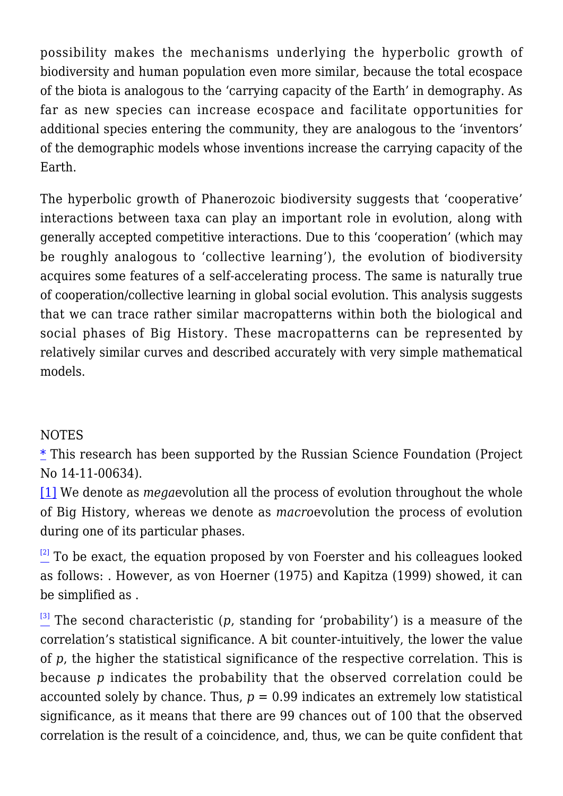possibility makes the mechanisms underlying the hyperbolic growth of biodiversity and human population even more similar, because the total ecospace of the biota is analogous to the 'carrying capacity of the Earth' in demography. As far as new species can increase ecospace and facilitate opportunities for additional species entering the community, they are analogous to the 'inventors' of the demographic models whose inventions increase the carrying capacity of the Earth.

The hyperbolic growth of Phanerozoic biodiversity suggests that 'cooperative' interactions between taxa can play an important role in evolution, along with generally accepted competitive interactions. Due to this 'cooperation' (which may be roughly analogous to 'collective learning'), the evolution of biodiversity acquires some features of a self-accelerating process. The same is naturally true of cooperation/collective learning in global social evolution. This analysis suggests that we can trace rather similar macropatterns within both the biological and social phases of Big History. These macropatterns can be represented by relatively similar curves and described accurately with very simple mathematical models.

### **NOTES**

 $*$  This research has been supported by the Russian Science Foundation (Project No 14-11-00634).

<span id="page-32-0"></span>[\[1\]](#page-2-0) We denote as *mega*evolution all the process of evolution throughout the whole of Big History, whereas we denote as *macro*evolution the process of evolution during one of its particular phases.

<span id="page-32-1"></span> $\frac{[2]}{2}$  $\frac{[2]}{2}$  $\frac{[2]}{2}$  To be exact, the equation proposed by von Foerster and his colleagues looked as follows: . However, as von Hoerner (1975) and Kapitza (1999) showed, it can be simplified as .

<span id="page-32-2"></span> $\frac{13}{2}$  The second characteristic (*p*, standing for 'probability') is a measure of the correlation's statistical significance. A bit counter-intuitively, the lower the value of *p*, the higher the statistical significance of the respective correlation. This is because *p* indicates the probability that the observed correlation could be accounted solely by chance. Thus, *p =* 0.99 indicates an extremely low statistical significance, as it means that there are 99 chances out of 100 that the observed correlation is the result of a coincidence, and, thus, we can be quite confident that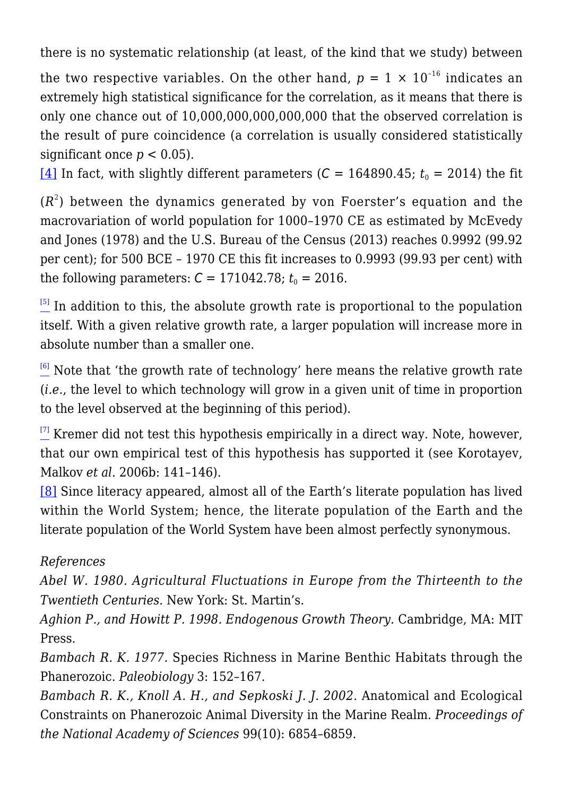there is no systematic relationship (at least, of the kind that we study) between

the two respective variables. On the other hand,  $p = 1 \times 10^{-16}$  indicates an extremely high statistical significance for the correlation, as it means that there is only one chance out of 10,000,000,000,000,000 that the observed correlation is the result of pure coincidence (a correlation is usually considered statistically significant once  $p < 0.05$ ).

<span id="page-33-0"></span>[\[4\]](#page-11-1) In fact, with slightly different parameters ( $C = 164890.45$ ;  $t_0 = 2014$ ) the fit

 $(R^2)$  between the dynamics generated by von Foerster's equation and the macrovariation of world population for 1000–1970 CE as estimated by McEvedy and Jones (1978) and the U.S. Bureau of the Census (2013) reaches 0.9992 (99.92 per cent); for 500 BCE – 1970 CE this fit increases to 0.9993 (99.93 per cent) with the following parameters:  $C = 171042.78$ ;  $t_0 = 2016$ .

<span id="page-33-1"></span> $\frac{5}{10}$  In addition to this, the absolute growth rate is proportional to the population itself. With a given relative growth rate, a larger population will increase more in absolute number than a smaller one.

<span id="page-33-2"></span> $\frac{6}{10}$  Note that 'the growth rate of technology' here means the relative growth rate (*i.e.*, the level to which technology will grow in a given unit of time in proportion to the level observed at the beginning of this period).

<span id="page-33-3"></span> $\frac{[7]}{2}$  $\frac{[7]}{2}$  $\frac{[7]}{2}$  Kremer did not test this hypothesis empirically in a direct way. Note, however, that our own empirical test of this hypothesis has supported it (see Korotayev, Malkov *et al.* 2006b: 141–146).

<span id="page-33-4"></span>[\[8\]](#page-18-0) Since literacy appeared, almost all of the Earth's literate population has lived within the World System; hence, the literate population of the Earth and the literate population of the World System have been almost perfectly synonymous.

### *References*

*Abel W. 1980. Agricultural Fluctuations in Europe from the Thirteenth to the Twentieth Centuries.* New York: St. Martin's.

*Aghion P., and Howitt P. 1998. Endogenous Growth Theory.* Cambridge, MA: MIT Press.

*Bambach R. K. 1977.* Species Richness in Marine Benthic Habitats through the Phanerozoic. *Paleobiology* 3: 152–167.

*Bambach R. K., Knoll A. H., and Sepkoski J. J. 2002.* Anatomical and Ecological Constraints on Phanerozoic Animal Diversity in the Marine Realm. *Proceedings of the National Academy of Sciences* 99(10): 6854–6859.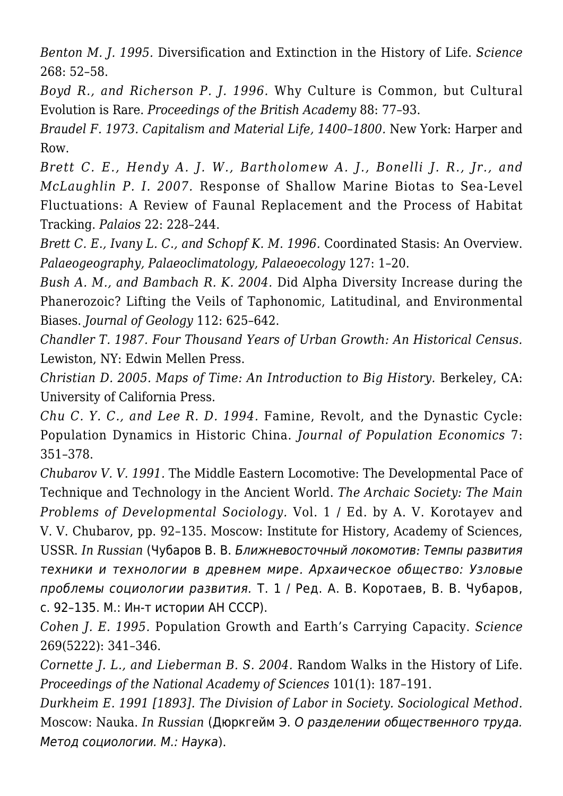*Benton M. J. 1995.* Diversification and Extinction in the History of Life. *Science* 268: 52–58.

*Boyd R., and Richerson P. J. 1996.* Why Culture is Common, but Cultural Evolution is Rare. *Proceedings of the British Academy* 88: 77–93.

*Braudel F. 1973. Capitalism and Material Life, 1400–1800.* New York: Harper and Row.

*Brett C. E., Hendy A. J. W., Bartholomew A. J., Bonelli J. R., Jr., and McLaughlin P. I. 2007.* Response of Shallow Marine Biotas to Sea-Level Fluctuations: A Review of Faunal Replacement and the Process of Habitat Tracking. *Palaios* 22: 228–244.

*Brett C. E., Ivany L. C., and Schopf K. M. 1996.* Coordinated Stasis: An Overview. *Palaeogeography, Palaeoclimatology, Palaeoecology* 127: 1–20.

*Bush A. M., and Bambach R. K. 2004.* Did Alpha Diversity Increase during the Phanerozoic? Lifting the Veils of Taphonomic, Latitudinal, and Environmental Biases. *Journal of Geology* 112: 625–642.

*Chandler T. 1987. Four Thousand Years of Urban Growth: An Historical Census.* Lewiston, NY: Edwin Mellen Press.

*Christian D. 2005. Maps of Time: An Introduction to Big History.* Berkeley, CA: University of California Press.

*Chu C. Y. C., and Lee R. D. 1994.* Famine, Revolt, and the Dynastic Cycle: Population Dynamics in Historic China. *Journal of Population Economics* 7: 351–378.

*Chubarov V. V. 1991.* The Middle Eastern Locomotive: The Developmental Pace of Technique and Technology in the Ancient World. *The Archaic Society: The Main Problems of Developmental Sociology.* Vol. 1 / Ed. by A. V. Korotayev and V. V. Chubarov, pp. 92–135. Moscow: Institute for History, Academy of Sciences, USSR. *In Russian* (Чубаров В. В. Ближневосточный локомотив*:* Темпы развития техники и технологии в древнем мире*.* Архаическое общество: Узловые проблемы социологии развития. Т. 1 / Ред. А. В. Коротаев, В. В. Чубаров, с. 92–135. М.: Ин-т истории АН СССР).

*Cohen J. E. 1995.* Population Growth and Earth's Carrying Capacity. *Science* 269(5222): 341–346.

*Cornette J. L., and Lieberman B. S. 2004.* Random Walks in the History of Life. *Proceedings of the National Academy of Sciences* 101(1): 187–191.

*Durkheim E. 1991 [1893]. The Division of Labor in Society. Sociological Method.* Moscow: Nauka. *In Russian* (Дюркгейм Э. О разделении общественного труда. Метод социологии. М.: Наука).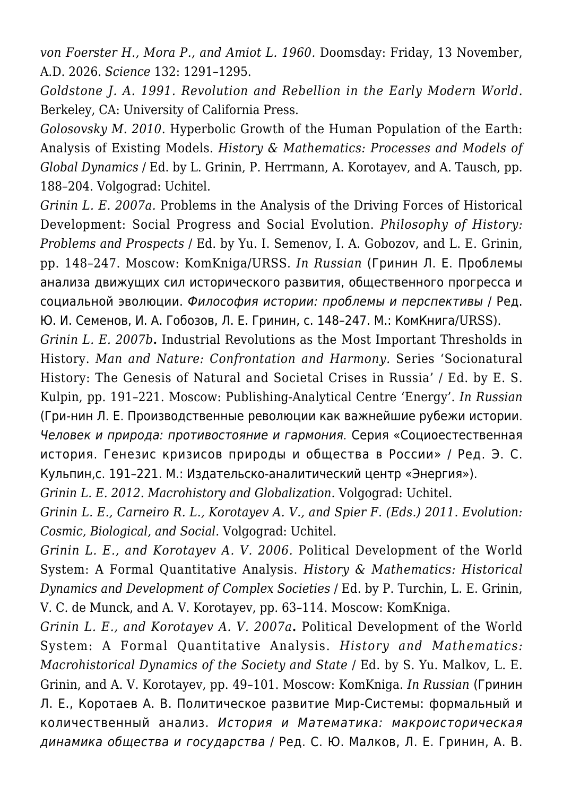*von Foerster H., Mora P., and Amiot L. 1960.* Doomsday: Friday, 13 November, A.D. 2026. *Science* 132: 1291–1295.

*Goldstone J. A. 1991. Revolution and Rebellion in the Early Modern World.* Berkeley, CA: University of California Press.

*Golosovsky M. 2010.* Hyperbolic Growth of the Human Population of the Earth: Analysis of Existing Models. *History & Mathematics: Processes and Models of Global Dynamics* / Ed. by L. Grinin, P. Herrmann, A. Korotayev, and A. Tausch, pp. 188–204. Volgograd: Uchitel.

*Grinin L. E. 2007a.* Problems in the Analysis of the Driving Forces of Historical Development: Social Progress and Social Evolution. *Philosophy of History: Problems and Prospects* / Ed. by Yu. I. Semenov, I. A. Gobozov, and L. E. Grinin, pp. 148–247. Moscow: KomKniga/URSS. *In Russian* (Гринин Л. Е. Проблемы анализа движущих сил исторического развития, общественного прогресса и социальной эволюции. Философия истории: проблемы и перспективы / Ред. Ю. И. Семенов, И. А. Гобозов, Л. Е. Гринин, с. 148–247. М.: КомКнига/URSS).

*Grinin L. E. 2007b***.** Industrial Revolutions as the Most Important Thresholds in History. *Man and Nature: Confrontation and Harmony.* Series 'Socionatural History: The Genesis of Natural and Societal Crises in Russia' / Ed. by E. S. Kulpin, pp. 191–221. Moscow: Publishing-Analytical Centre 'Energy'. *In Russian* (Гри-нин Л. Е. Производственные революции как важнейшие рубежи истории. Человек и природа: противостояние и гармония. Серия «Социоестественная история. Генезис кризисов природы и общества в России» / Ред. Э. С. Кульпин,с. 191–221. М.: Издательско-аналитический центр «Энергия»).

*Grinin L. E. 2012. Macrohistory and Globalization.* Volgograd: Uchitel.

*Grinin L. E., Carneiro R. L., Korotayev A. V., and Spier F. (Eds.) 2011. Evolution: Cosmic, Biological, and Social.* Volgograd: Uchitel.

*Grinin L. E., and Korotayev A. V. 2006.* Political Development of the World System: A Formal Quantitative Analysis. *History & Mathematics: Historical Dynamics and Development of Complex Societies* / Ed. by P. Turchin, L. E. Grinin, V. C. de Munck, and A. V. Korotayev, pp. 63–114. Moscow: KomKniga.

*Grinin L. E., and Korotayev A. V. 2007a***.** Political Development of the World System: A Formal Quantitative Analysis. *History and Mathematics: Macrohistorical Dynamics of the Society and State* / Ed. by S. Yu. Malkov, L. E. Grinin, and A. V. Korotayev, pp. 49–101. Moscow: KomKniga. *In Russian* (Гринин Л. Е., Коротаев А. В. Политическое развитие Мир-Системы: формальный и количественный анализ. История и Математика: макроисторическая динамика общества и государства / Ред. С. Ю. Малков, Л. Е. Гринин, А. В.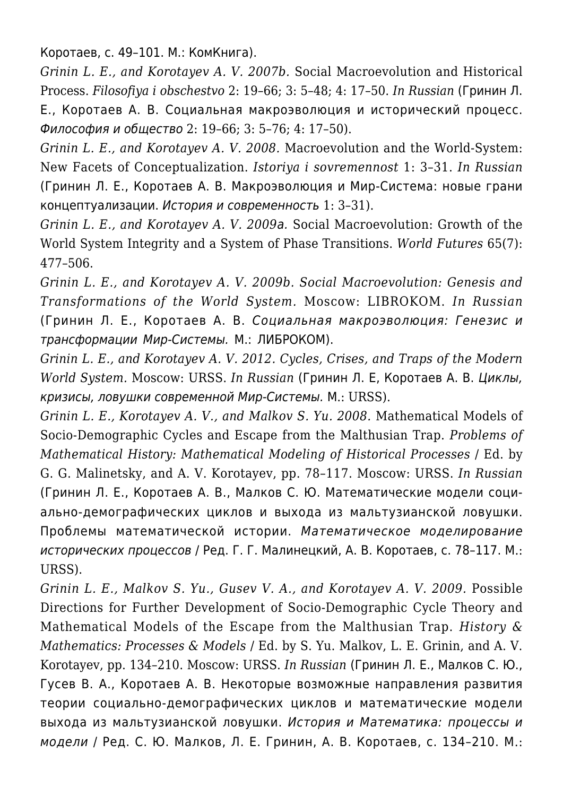Коротаев, с. 49–101. М.: КомКнига).

*Grinin L. E., and Korotayev A. V. 2007b.* Social Macroevolution and Historical Process. *Filosofiya i obschestvo* 2: 19–66; 3: 5–48; 4: 17–50. *In Russian* (Гринин Л. Е., Коротаев А. В. Социальная макроэволюция и исторический процесс. Философия и общество 2: 19–66; 3: 5–76; 4: 17–50).

*Grinin L. E., and Korotayev A. V. 2008.* Macroevolution and the World-System: New Facets of Conceptualization. *Istoriya i sovremennost* 1: 3–31. *In Russian* (Гринин Л. Е., Коротаев А. В. Макроэволюция и Мир-Система: новые грани концептуализации. История и современность 1: 3–31).

*Grinin L. E., and Korotayev A. V. 2009*а. Social Macroevolution: Growth of the World System Integrity and a System of Phase Transitions. *World Futures* 65(7): 477–506.

*Grinin L. E., and Korotayev A. V. 2009b. Social Macroevolution: Genesis and Transformations of the World System.* Moscow: LIBROKOM. *In Russian* (Гринин Л. Е., Коротаев А. В. Социальная макроэволюция: Генезис и трансформации Мир-Системы. М.: ЛИБРОКОМ).

*Grinin L. E., and Korotayev A. V. 2012. Cycles, Crises, and Traps of the Modern World System.* Moscow: URSS. *In Russian* (Гринин Л. Е, Коротаев А. В. Циклы, кризисы, ловушки современной Мир-Системы. М.: URSS).

*Grinin L. E., Korotayev A. V., and Malkov S. Yu. 2008.* Mathematical Models of Socio-Demographic Cycles and Escape from the Malthusian Trap. *Problems of Mathematical History: Mathematical Modeling of Historical Processes* / Ed. by G. G. Malinetsky, and A. V. Korotayev, pp. 78–117. Moscow: URSS. *In Russian* (Гринин Л. Е., Коротаев А. В., Малков С. Ю. Математические модели социально-демографических циклов и выхода из мальтузианской ловушки. Проблемы математической истории. Математическое моделирование исторических процессов / Ред. Г. Г. Малинецкий, А. В. Коротаев, с. 78–117. М.: URSS).

*Grinin L. E., Malkov S. Yu., Gusev V. A., and Korotayev A. V. 2009.* Possible Directions for Further Development of Socio-Demographic Cycle Theory and Mathematical Models of the Escape from the Malthusian Trap. *History & Mathematics: Processes & Models* / Ed. by S. Yu. Malkov, L. E. Grinin, and A. V. Korotayev, pp. 134–210. Moscow: URSS. *In Russian* (Гринин Л. Е., Малков С. Ю., Гусев В. А., Коротаев А. В. Некоторые возможные направления развития теории социально-демографических циклов и математические модели выхода из мальтузианской ловушки. История и Математика: процессы и модели / Ред. С. Ю. Малков, Л. Е. Гринин, А. В. Коротаев, с. 134–210. М.: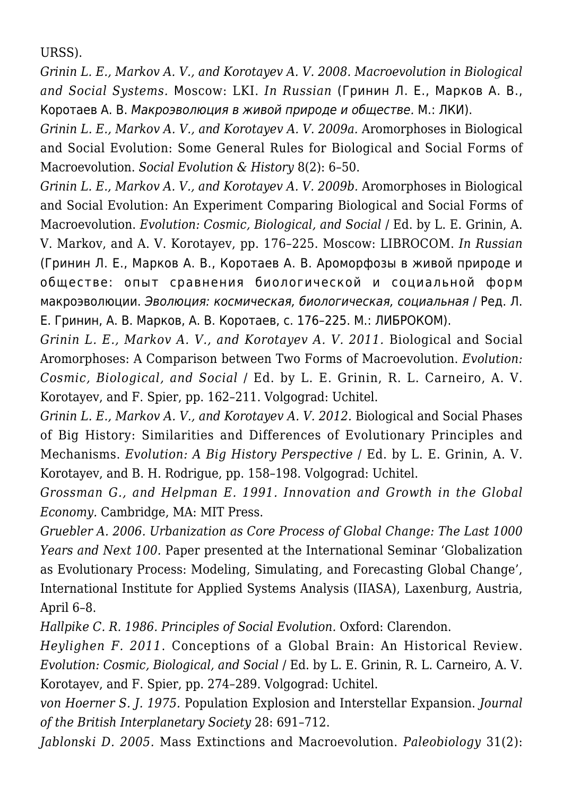URSS).

*Grinin L. E., Markov A. V., and Korotayev A. V. 2008. Macroevolution in Biological and Social Systems.* Мoscow: LKI. *In Russian* (Гринин Л. Е., Марков А. В., Коротаев А. В. Макроэволюция в живой природе и обществе*.* М.: ЛКИ).

*Grinin L. E., Markov A. V., and Korotayev A. V. 2009a.* Aromorphoses in Biological and Social Evolution: Some General Rules for Biological and Social Forms of Macroevolution. *Social Evolution & History* 8(2): 6–50.

*Grinin L. E., Markov A. V., and Korotayev A. V. 2009b.* Aromorphoses in Biological and Social Evolution: An Experiment Comparing Biological and Social Forms of Macroevolution. *Evolution: Cosmic, Biological, and Social* / Ed. by L. E. Grinin, A. V. Markov, and A. V. Korotayev, pp. 176–225. Moscow: LIBROCOM. *In Russian* (Гринин Л. Е., Марков А. В., Коротаев А. В. Ароморфозы в живой природе и обществе: опыт сравнения биологической и социальной форм макроэволюции. Эволюция: космическая, биологическая, социальная / Ред. Л. Е. Гринин, А. В. Марков, А. В. Коротаев, с. 176–225. М.: ЛИБРОКОМ).

*Grinin L. E., Markov A. V., and Korotayev A. V. 2011.* Biological and Social Aromorphoses: A Comparison between Two Forms of Macroevolution. *Evolution: Cosmic, Biological, and Social* / Ed. by L. E. Grinin, R. L. Carneiro, A. V. Korotayev, and F. Spier, pp. 162–211. Volgograd: Uchitel.

*Grinin L. E., Markov A. V., and Korotayev A. V. 2012. Biological and Social Phases* of Big History: Similarities and Differences of Evolutionary Principles and Mechanisms. *Evolution: A Big History Perspective* / Ed. by L. E. Grinin, A. V. Korotayev, and B. H. Rodrigue, pp. 158–198. Volgograd: Uchitel.

*Grossman G., and Helpman E. 1991. Innovation and Growth in the Global Economy.* Cambridge, MA: MIT Press.

*Gruebler A. 2006. Urbanization as Core Process of Global Change: The Last 1000 Years and Next 100.* Paper presented at the International Seminar 'Globalization as Evolutionary Process: Modeling, Simulating, and Forecasting Global Change', International Institute for Applied Systems Analysis (IIASA), Laxenburg, Austria, April 6–8.

*Hallpike C. R. 1986. Principles of Social Evolution.* Oxford: Clarendon.

*Heylighen F. 2011*. Conceptions of a Global Brain: An Historical Review. *Evolution: Cosmic, Biological, and Social* / Ed. by L. E. Grinin, R. L. Carneiro, A. V. Korotayev, and F. Spier, pp. 274–289. Volgograd: Uchitel.

*von Hoerner S. J. 1975.* Population Explosion and Interstellar Expansion. *Journal of the British Interplanetary Society* 28: 691–712.

*Jablonski D. 2005.* Mass Extinctions and Macroevolution. *Paleobiology* 31(2):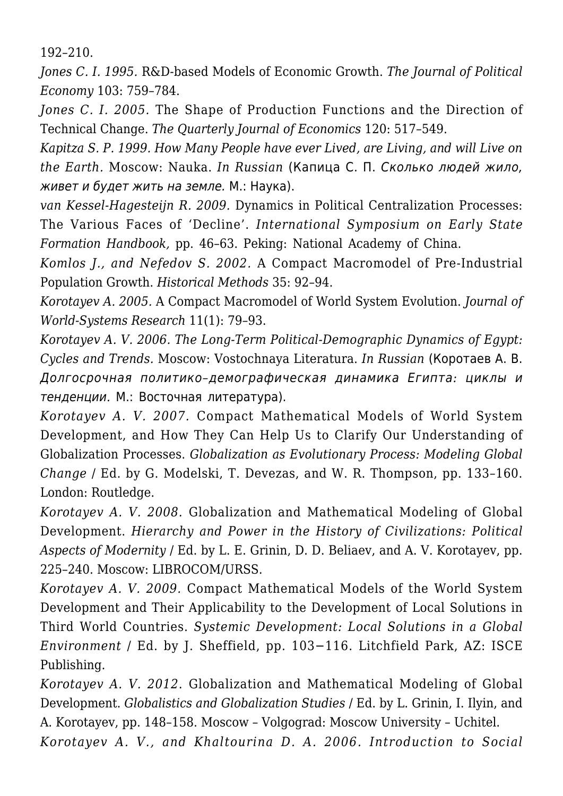192–210.

*Jones C. I. 1995.* R&D-based Models of Economic Growth. *The Journal of Political Economy* 103: 759–784.

*Jones C. I. 2005.* The Shape of Production Functions and the Direction of Technical Change. *The Quarterly Journal of Economics* 120: 517–549.

*Kapitza S. P. 1999. How Many People have ever Lived, are Living, and will Live on the Earth.* Moscow: Nauka. *In Russian* (Капица С. П. Сколько людей жило, живет и будет жить на земле. М.: Наука).

*van Kessel-Hagesteijn R. 2009.* Dynamics in Political Centralization Processes: The Various Faces of 'Decline'. *International Symposium on Early State Formation Handbook,* pp. 46–63. Peking: National Academy of China.

*Komlos J., and Nefedov S. 2002.* A Compact Macromodel of Pre-Industrial Population Growth. *Historical Methods* 35: 92–94.

*Korotayev A. 2005.* A Compact Macromodel of World System Evolution. *Journal of World-Systems Research* 11(1): 79–93.

*Korotayev A. V. 2006. The Long-Term Political-Demographic Dynamics of Egypt: Cycles and Trends.* Moscow: Vostochnaya Literatura. *In Russian* (Коротаев А. В. Долгосрочная политико*–*демографическая динамика Египта*:* циклы и тенденции*.* М.: Восточная литература).

*Korotayev A. V. 2007.* Compact Mathematical Models of World System Development, and How They Can Help Us to Clarify Our Understanding of Globalization Processes. *Globalization as Evolutionary Process: Modeling Global Change* / Ed. by G. Modelski, T. Devezas, and W. R. Thompson, pp. 133–160. London: Routledge.

*Korotayev A. V. 2008.* Globalization and Mathematical Modeling of Global Development. *Hierarchy and Power in the History of Civilizations: Political Aspects of Modernity* / Ed. by L. E. Grinin, D. D. Beliaev, and A. V. Korotayev, pp. 225–240. Moscow: LIBROCOM/URSS.

*Korotayev A. V. 2009.* Compact Mathematical Models of the World System Development and Their Applicability to the Development of Local Solutions in Third World Countries. *Systemic Development: Local Solutions in a Global Environment* / Ed. by J. Sheffield, pp. 103−116. Litchfield Park, AZ: ISCE Publishing.

*Korotayev A. V. 2012*. Globalization and Mathematical Modeling of Global Development. *Globalistics and Globalization Studies* / Ed. by L. Grinin, I. Ilyin, and A. Korotayev, pp. 148–158. Moscow – Volgograd: Moscow University – Uchitel.

*Korotayev A. V., and Khaltourina D. A. 2006. Introduction to Social*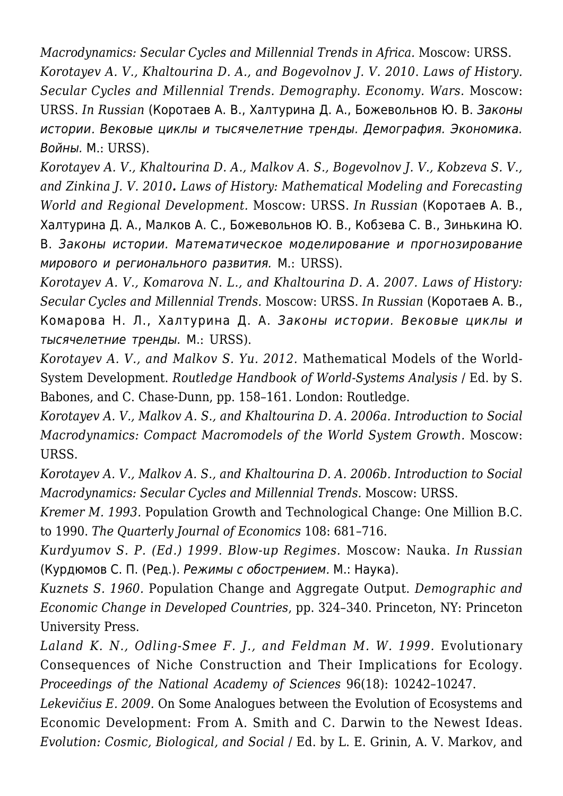*Macrodynamics: Secular Cycles and Millennial Trends in Africa.* Moscow: URSS. *Korotayev A. V., Khaltourina D. A., and Bogevolnov J. V. 2010*. *Laws of History. Secular Cycles and Millennial Trends. Demography. Economy. Wars.* Moscow: URSS. *In Russian* (Коротаев А. В., Халтурина Д. А., Божевольнов Ю. В. Законы истории*.* Вековые циклы и тысячелетние тренды. Демография. Экономика. Войны. М.: URSS).

*Korotayev A. V., Khaltourina D. A., Malkov A. S., Bogevolnov J. V., Kobzeva S. V., and Zinkina J. V. 2010. Laws of History: Mathematical Modeling and Forecasting World and Regional Development.* Moscow: URSS. *In Russian* (Коротаев А. В., Халтурина Д. А., Малков А. С., Божевольнов Ю. В., Кобзева С. В., Зинькина Ю. В. Законы истории. Математическое моделирование и прогнозирование мирового и регионального развития. М.: URSS).

*Korotayev A. V., Komarova N. L., and Khaltourina D. A. 2007. Laws of History: Secular Cycles and Millennial Trends.* Moscow: URSS. *In Russian* (Коротаев А. В., Комарова Н. Л., Халтурина Д. А. Законы истории. Вековые циклы и тысячелетние тренды. М.: URSS).

*Korotayev A. V., and Malkov S. Yu. 2012.* Mathematical Models of the World-System Development. *Routledge Handbook of World-Systems Analysis* / Ed. by S. Babones, and C. Chase-Dunn, pp. 158–161. London: Routledge.

*Korotayev A. V., Malkov A. S., and Khaltourina D. A. 2006a. Introduction to Social Macrodynamics: Compact Macromodels of the World System Growth.* Moscow: URSS.

*Korotayev A. V., Malkov A. S., and Khaltourina D. A. 2006b. Introduction to Social Macrodynamics: Secular Cycles and Millennial Trends.* Moscow: URSS.

*Kremer M. 1993.* Population Growth and Technological Change: One Million B.C. to 1990. *The Quarterly Journal of Economics* 108: 681–716.

*Kurdyumov S. P. (Ed.) 1999. Blow-up Regimes.* Moscow: Nauka. *In Russian* (Курдюмов С. П. (Ред.). Режимы с обострением*.* М.: Наука).

*Kuznets S. 1960.* Population Change and Aggregate Output. *Demographic and Economic Change in Developed Countries*, pp. 324–340. Princeton, NY: Princeton University Press.

Laland K. N., Odling-Smee F. J., and Feldman M. W. 1999. Evolutionary Consequences of Niche Construction and Their Implications for Ecology. *Proceedings of the National Academy of Sciences* 96(18): 10242–10247.

*Lekevičius E. 2009.* On Some Analogues between the Evolution of Ecosystems and Economic Development: From A. Smith and C. Darwin to the Newest Ideas. *Evolution: Cosmic, Biological, and Social* / Ed. by L. E. Grinin, A. V. Markov, and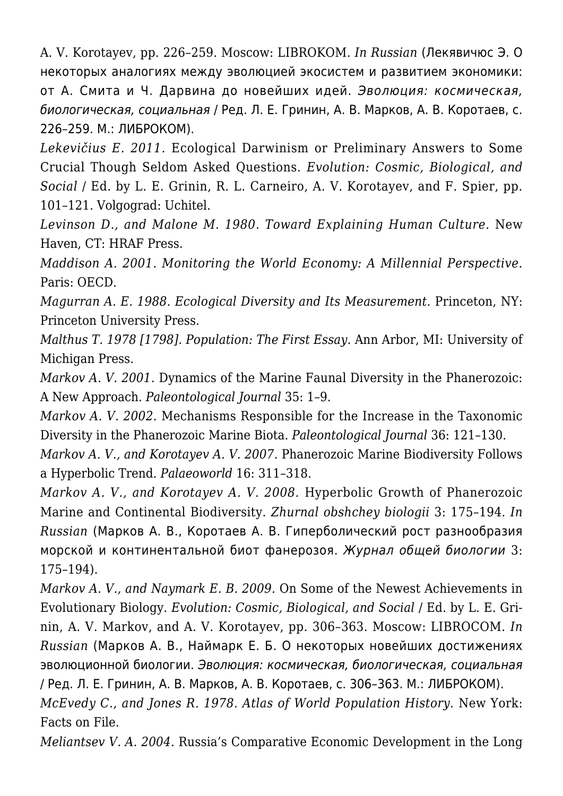A. V. Korotayev, pp. 226–259. Moscow: LIBROKOM. *In Russian* (Лекявичюс Э. О некоторых аналогиях между эволюцией экосистем и развитием экономики: от А. Смита и Ч. Дарвина до новейших идей. Эволюция: космическая, биологическая, социальная / Ред. Л. Е. Гринин, А. В. Марков, А. В. Коротаев, с. 226–259. М.: ЛИБРОКОМ).

*Lekevičius E. 2011.* Ecological Darwinism or Preliminary Answers to Some Crucial Though Seldom Asked Questions. *Evolution: Cosmic, Biological, and Social* / Ed. by L. E. Grinin, R. L. Carneiro, A. V. Korotayev, and F. Spier, pp. 101–121. Volgograd: Uchitel.

*Levinson D., and Malone M. 1980. Toward Explaining Human Culture.* New Haven, CT: HRAF Press.

*Maddison A. 2001. Monitoring the World Economy: A Millennial Perspective.* Paris: OECD.

*Magurran A. E. 1988. Ecological Diversity and Its Measurement.* Princeton, NY: Princeton University Press.

*Malthus T. 1978 [1798]. Population: The First Essay.* Ann Arbor, MI: University of Michigan Press.

*Markov A. V. 2001.* Dynamics of the Marine Faunal Diversity in the Phanerozoic: A New Approach. *Paleontological Journal* 35: 1–9.

*Markov A. V. 2002.* Mechanisms Responsible for the Increase in the Taxonomic Diversity in the Phanerozoic Marine Biota. *Paleontological Journal* 36: 121–130.

*Markov A. V., and Korotayev A. V. 2007.* Phanerozoic Marine Biodiversity Follows a Hyperbolic Trend. *Palaeoworld* 16: 311–318.

*Markov A. V., and Korotayev A. V. 2008.* Hyperbolic Growth of Phanerozoic Marine and Continental Biodiversity. *Zhurnal obshchey biologii* 3: 175–194. *In Russian* (Марков А. В., Коротаев А. В. Гиперболический рост разнообразия морской и континентальной биот фанерозоя. Журнал общей биологии 3: 175–194).

*Markov A. V., and Naymark E. B. 2009.* On Some of the Newest Achievements in Evolutionary Biology. *Evolution: Cosmic, Biological, and Social* / Ed. by L. E. Grinin, A. V. Markov, and A. V. Korotayev, pp. 306–363. Moscow: LIBROCOM. *In Russian* (Марков А. В., Наймарк Е. Б. О некоторых новейших достижениях эволюционной биологии. Эволюция: космическая, биологическая, социальная / Ред. Л. Е. Гринин, А. В. Марков, А. В. Коротаев, с. 306–363. М.: ЛИБРОКОМ).

*McEvedy C., and Jones R. 1978. Atlas of World Population History.* New York: Facts on File.

*Meliantsev V. A. 2004.* Russia's Comparative Economic Development in the Long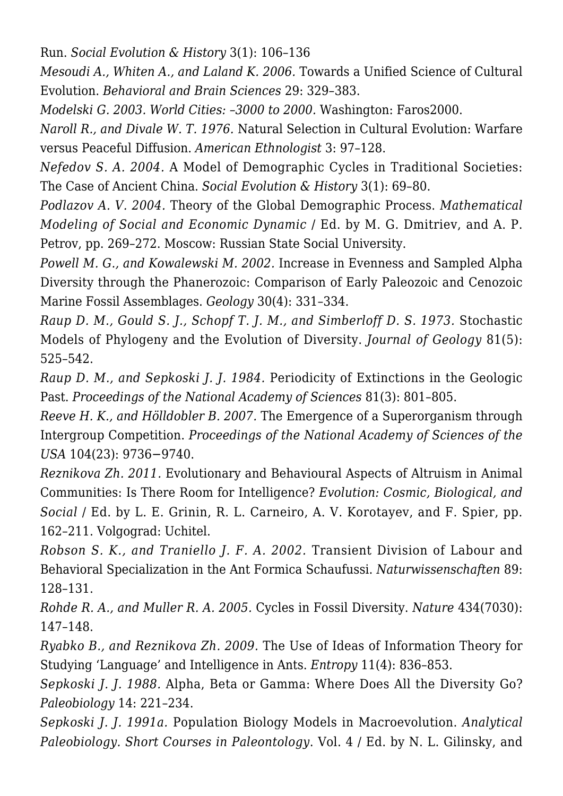Run. *Social Evolution & History* 3(1): 106–136

*Mesoudi A., Whiten A., and Laland K. 2006.* Towards a Unified Science of Cultural Evolution. *Behavioral and Brain Sciences* 29: 329–383.

*Modelski G. 2003. World Cities: –3000 to 2000.* Washington: Faros2000.

*Naroll R., and Divale W. T. 1976.* Natural Selection in Cultural Evolution: Warfare versus Peaceful Diffusion. *American Ethnologist* 3: 97–128.

*Nefedov S. A. 2004.* A Model of Demographic Cycles in Traditional Societies: The Case of Ancient China. *Social Evolution & History* 3(1): 69–80.

*Podlazov A. V. 2004.* Theory of the Global Demographic Process. *Mathematical Modeling of Social and Economic Dynamic* / Ed. by M. G. Dmitriev, and A. P. Petrov, pp. 269–272. Moscow: Russian State Social University.

*Powell M. G., and Kowalewski M. 2002.* Increase in Evenness and Sampled Alpha Diversity through the Phanerozoic: Comparison of Early Paleozoic and Cenozoic Marine Fossil Assemblages. *Geology* 30(4): 331–334.

*Raup D. M., Gould S. J., Schopf T. J. M., and Simberloff D. S. 1973.* Stochastic Models of Phylogeny and the Evolution of Diversity. *Journal of Geology* 81(5): 525–542.

*Raup D. M., and Sepkoski J. J. 1984.* Periodicity of Extinctions in the Geologic Past. *Proceedings of the National Academy of Sciences* 81(3): 801–805.

*Reeve H. K., and Hölldobler B. 2007.* The Emergence of a Superorganism through Intergroup Competition. *Proceedings of the National Academy of Sciences of the USA* 104(23): 9736−9740.

*Reznikova Zh. 2011.* Evolutionary and Behavioural Aspects of Altruism in Animal Communities: Is There Room for Intelligence? *Evolution: Cosmic, Biological, and Social* / Ed. by L. E. Grinin, R. L. Carneiro, A. V. Korotayev, and F. Spier, pp. 162–211. Volgograd: Uchitel.

*Robson S. K., and Traniello J. F. A. 2002.* Transient Division of Labour and Behavioral Specialization in the Ant Formica Schaufussi. *Naturwissenschaften* 89: 128–131.

*Rohde R. A., and Muller R. A. 2005.* Cycles in Fossil Diversity. *Nature* 434(7030): 147–148.

*Ryabko B., and Reznikova Zh. 2009.* The Use of Ideas of Information Theory for Studying 'Language' and Intelligence in Ants. *Entropy* 11(4): 836–853.

*Sepkoski J. J. 1988.* Alpha, Beta or Gamma: Where Does All the Diversity Go? *Paleobiology* 14: 221–234.

*Sepkoski J. J. 1991a.* Population Biology Models in Macroevolution. *Analytical Paleobiology. Short Courses in Paleontology*. Vol. 4 / Ed. by N. L. Gilinsky, and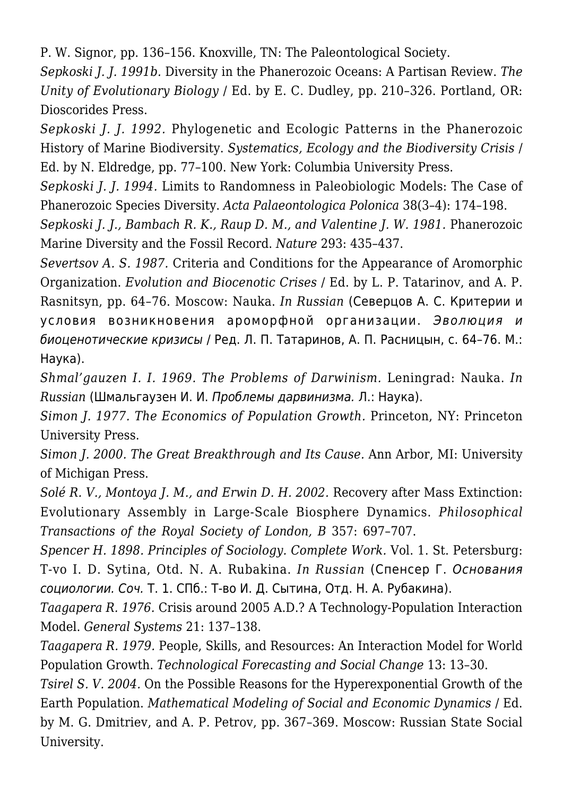P. W. Signor, pp. 136–156. Knoxville, TN: The Paleontological Society.

*Sepkoski J. J. 1991b.* Diversity in the Phanerozoic Oceans: A Partisan Review. *The Unity of Evolutionary Biology* / Ed. by E. C. Dudley, pp. 210–326. Portland, OR: Dioscorides Press.

*Sepkoski J. J. 1992.* Phylogenetic and Ecologic Patterns in the Phanerozoic History of Marine Biodiversity. *Systematics, Ecology and the Biodiversity Crisis* / Ed. by N. Eldredge, pp. 77–100. New York: Columbia University Press.

*Sepkoski J. J. 1994.* Limits to Randomness in Paleobiologic Models: The Case of Phanerozoic Species Diversity. *Acta Palaeontologica Polonica* 38(3–4): 174–198.

*Sepkoski J. J., Bambach R. K., Raup D. M., and Valentine J. W. 1981.* Phanerozoic Marine Diversity and the Fossil Record. *Nature* 293: 435–437.

*Severtsov A. S. 1987.* Criteria and Conditions for the Appearance of Aromorphic Organization. *Evolution and Biocenotic Crises* / Ed. by L. P. Tatarinov, and A. P. Rasnitsyn, pp. 64–76. Moscow: Nauka. *In Russian* (Северцов А. С. Критерии и условия возникновения ароморфной организации. Эволюция и биоценотические кризисы / Ред. Л. П. Татаринов, А. П. Расницын, с. 64–76. М.: Наука).

*Shmal'gauzen I. I. 1969. The Problems of Darwinism.* Leningrad: Nauka. *In Russian* (Шмальгаузен И. И. Проблемы дарвинизма. Л.: Наука).

*Simon J. 1977. The Economics of Population Growth.* Princeton, NY: Princeton University Press.

*Simon J. 2000. The Great Breakthrough and Its Cause.* Ann Arbor, MI: University of Michigan Press.

*Solé R. V., Montoya J. M., and Erwin D. H. 2002.* Recovery after Mass Extinction: Evolutionary Assembly in Large-Scale Biosphere Dynamics. *Philosophical Transactions of the Royal Society of London, B* 357: 697–707.

*Spencer H. 1898. Principles of Sociology. Complete Work.* Vol. 1. St. Petersburg: T-vo I. D. Sytina, Otd. N. A. Rubakina. *In Russian* (Спенсер Г. Основания социологии. Соч. Т. 1. СПб.: Т-во И. Д. Сытина, Отд. Н. А. Рубакина).

*Taagapera R. 1976.* Crisis around 2005 A.D.? A Technology-Population Interaction Model. *General Systems* 21: 137–138.

*Taagapera R. 1979.* People, Skills, and Resources: An Interaction Model for World Population Growth. *Technological Forecasting and Social Change* 13: 13–30.

*Tsirel S. V. 2004.* On the Possible Reasons for the Hyperexponential Growth of the Earth Population. *Mathematical Modeling of Social and Economic Dynamics* / Ed. by M. G. Dmitriev, and A. P. Petrov, pp. 367–369. Moscow: Russian State Social University.